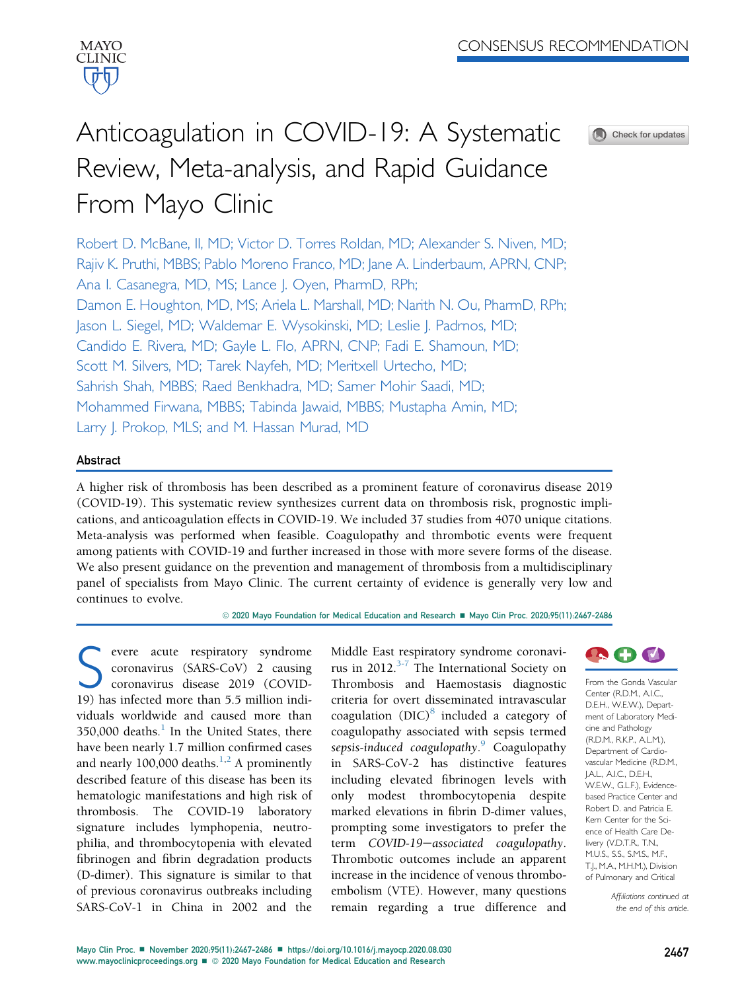

# Anticoagulation in COVID-19: A Systematic Review, Meta-analysis, and Rapid Guidance From Mayo Clinic



Robert D. McBane, II, MD; Victor D. Torres Roldan, MD; Alexander S. Niven, MD; Rajiv K. Pruthi, MBBS; Pablo Moreno Franco, MD; Jane A. Linderbaum, APRN, CNP; Ana I. Casanegra, MD, MS; Lance J. Oyen, PharmD, RPh; Damon E. Houghton, MD, MS; Ariela L. Marshall, MD; Narith N. Ou, PharmD, RPh; Jason L. Siegel, MD; Waldemar E. Wysokinski, MD; Leslie J. Padrnos, MD; Candido E. Rivera, MD; Gayle L. Flo, APRN, CNP; Fadi E. Shamoun, MD; Scott M. Silvers, MD; Tarek Nayfeh, MD; Meritxell Urtecho, MD; Sahrish Shah, MBBS; Raed Benkhadra, MD; Samer Mohir Saadi, MD; Mohammed Firwana, MBBS; Tabinda Jawaid, MBBS; Mustapha Amin, MD; Larry J. Prokop, MLS; and M. Hassan Murad, MD

#### Abstract

A higher risk of thrombosis has been described as a prominent feature of coronavirus disease 2019 (COVID-19). This systematic review synthesizes current data on thrombosis risk, prognostic implications, and anticoagulation effects in COVID-19. We included 37 studies from 4070 unique citations. Meta-analysis was performed when feasible. Coagulopathy and thrombotic events were frequent among patients with COVID-19 and further increased in those with more severe forms of the disease. We also present guidance on the prevention and management of thrombosis from a multidisciplinary panel of specialists from Mayo Clinic. The current certainty of evidence is generally very low and continues to evolve.

© 2020 Mayo Foundation for Medical Education and Research ■ Mayo Clin Proc. 2020;95(11):2467-2486

evere acute respiratory syndrome coronavirus (SARS-CoV) 2 causing coronavirus disease 2019 (COVID-19) has infected more than 5.5 million individuals worldwide and caused more than  $350,000$  deaths.<sup>[1](#page-17-0)</sup> In the United States, there have been nearly 1.7 million confirmed cases and nearly 100,000 deaths.<sup>[1,](#page-17-0)[2](#page-17-1)</sup> A prominently described feature of this disease has been its hematologic manifestations and high risk of thrombosis. The COVID-19 laboratory signature includes lymphopenia, neutrophilia, and thrombocytopenia with elevated fibrinogen and fibrin degradation products (D-dimer). This signature is similar to that of previous coronavirus outbreaks including SARS-CoV-1 in China in 2002 and the

Middle East respiratory syndrome coronavirus in 2012. $3-7$  The International Society on Thrombosis and Haemostasis diagnostic criteria for overt disseminated intravascular coagulation (DIC) $\delta$  included a category of coagulopathy associated with sepsis termed sepsis-induced coagulopathy.<sup>[9](#page-17-4)</sup> Coagulopathy in SARS-CoV-2 has distinctive features including elevated fibrinogen levels with only modest thrombocytopenia despite marked elevations in fibrin D-dimer values, prompting some investigators to prefer the term COVID-19-associated coagulopathy. Thrombotic outcomes include an apparent increase in the incidence of venous thromboembolism (VTE). However, many questions remain regarding a true difference and



From the Gonda Vascular Center (R.D.M., A.I.C., D.E.H., W.E.W.), Department of Laboratory Medicine and Pathology (R.D.M., R.K.P., A.L.M.), Department of Cardiovascular Medicine (R.D.M., J.A.L., A.I.C., D.E.H., W.E.W., G.L.F.), Evidencebased Practice Center and Robert D. and Patricia E. Kern Center for the Science of Health Care Delivery (V.D.T.R., T.N., M.U.S., S.S., S.M.S., M.F., T.J., M.A., M.H.M.), Division of Pulmonary and Critical

> Affiliations continued at the end of this article.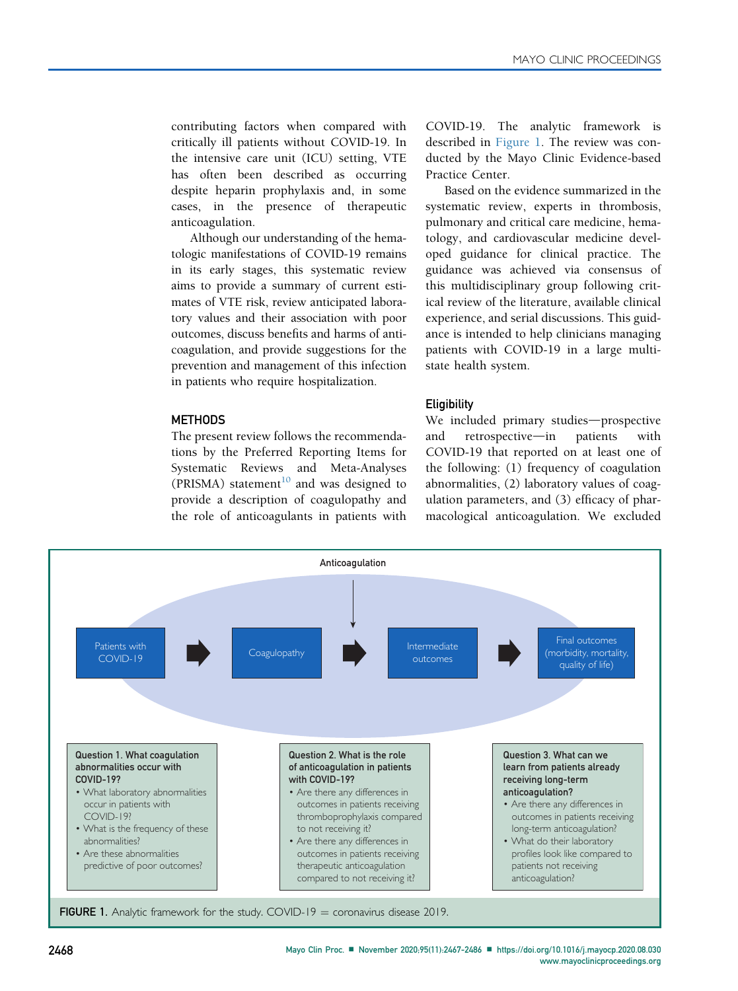contributing factors when compared with critically ill patients without COVID-19. In the intensive care unit (ICU) setting, VTE has often been described as occurring despite heparin prophylaxis and, in some cases, in the presence of therapeutic anticoagulation.

Although our understanding of the hematologic manifestations of COVID-19 remains in its early stages, this systematic review aims to provide a summary of current estimates of VTE risk, review anticipated laboratory values and their association with poor outcomes, discuss benefits and harms of anticoagulation, and provide suggestions for the prevention and management of this infection in patients who require hospitalization.

#### **METHODS**

The present review follows the recommendations by the Preferred Reporting Items for Systematic Reviews and Meta-Analyses (PRISMA) statement<sup>[10](#page-17-5)</sup> and was designed to provide a description of coagulopathy and the role of anticoagulants in patients with COVID-19. The analytic framework is described in [Figure 1](#page-1-0). The review was conducted by the Mayo Clinic Evidence-based Practice Center.

Based on the evidence summarized in the systematic review, experts in thrombosis, pulmonary and critical care medicine, hematology, and cardiovascular medicine developed guidance for clinical practice. The guidance was achieved via consensus of this multidisciplinary group following critical review of the literature, available clinical experience, and serial discussions. This guidance is intended to help clinicians managing patients with COVID-19 in a large multistate health system.

#### **Eligibility**

We included primary studies-prospective and retrospective-in patients with COVID-19 that reported on at least one of the following: (1) frequency of coagulation abnormalities, (2) laboratory values of coagulation parameters, and (3) efficacy of pharmacological anticoagulation. We excluded

<span id="page-1-0"></span>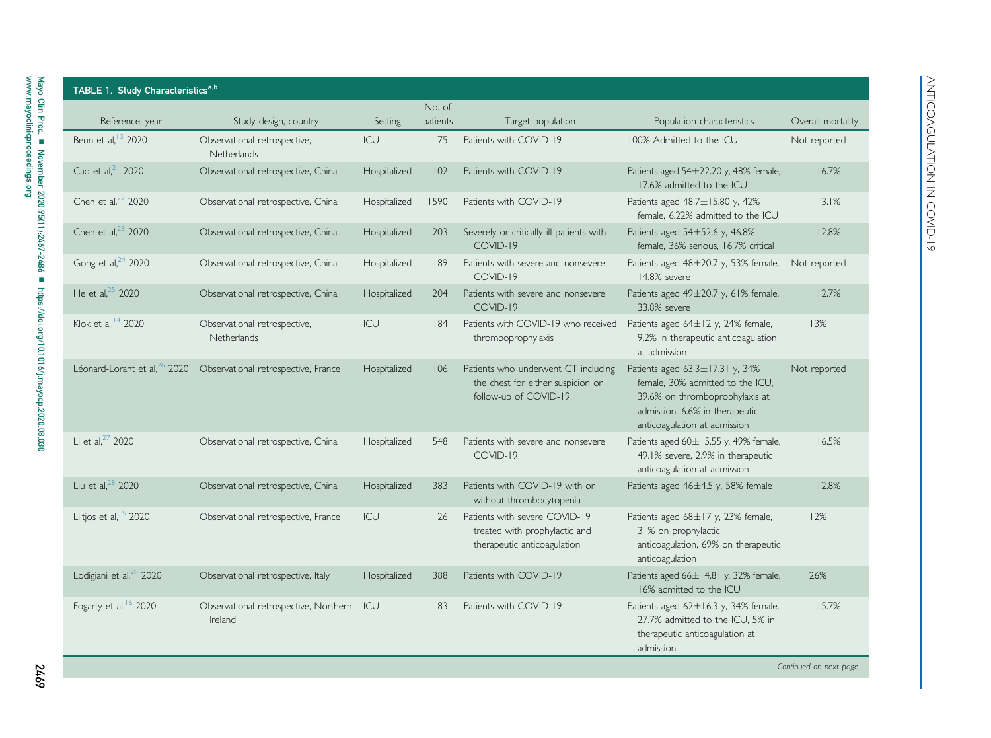<span id="page-2-0"></span>

| TABLE 1. Study Characteristics <sup>a,b</sup> |                                                  |              |                    |                                                                                                   |                                                                                                                                                                         |                   |
|-----------------------------------------------|--------------------------------------------------|--------------|--------------------|---------------------------------------------------------------------------------------------------|-------------------------------------------------------------------------------------------------------------------------------------------------------------------------|-------------------|
| Reference, year                               | Study design, country                            | Setting      | No. of<br>patients | Target population                                                                                 | Population characteristics                                                                                                                                              | Overall mortality |
| Beun et al. <sup>13</sup> 2020                | Observational retrospective,<br>Netherlands      | ICU          | 75                 | Patients with COVID-19                                                                            | 100% Admitted to the ICU                                                                                                                                                | Not reported      |
| Cao et al, <sup>21</sup> 2020                 | Observational retrospective, China               | Hospitalized | 102                | Patients with COVID-19                                                                            | Patients aged 54±22.20 y, 48% female,<br>17.6% admitted to the ICU                                                                                                      | 16.7%             |
| Chen et al, <sup>22</sup> 2020                | Observational retrospective, China               | Hospitalized | 1590               | Patients with COVID-19                                                                            | Patients aged 48.7±15.80 y, 42%<br>female, 6.22% admitted to the ICU                                                                                                    | 3.1%              |
| Chen et al, $23$ 2020                         | Observational retrospective, China               | Hospitalized | 203                | Severely or critically ill patients with<br>COVID-19                                              | Patients aged 54±52.6 y, 46.8%<br>female, 36% serious, 16.7% critical                                                                                                   | 12.8%             |
| Gong et al, <sup>24</sup> 2020                | Observational retrospective, China               | Hospitalized | 189                | Patients with severe and nonsevere<br>COVID-19                                                    | Patients aged 48±20.7 y, 53% female,<br>14.8% severe                                                                                                                    | Not reported      |
| He et al, $25$ 2020                           | Observational retrospective, China               | Hospitalized | 204                | Patients with severe and nonsevere<br>COVID-19                                                    | Patients aged 49±20.7 y, 61% female,<br>33.8% severe                                                                                                                    | 12.7%             |
| Klok et al, 14 2020                           | Observational retrospective,<br>Netherlands      | ICU          | 184                | Patients with COVID-19 who received<br>thromboprophylaxis                                         | Patients aged 64±12 y, 24% female,<br>9.2% in therapeutic anticoagulation<br>at admission                                                                               | 13%               |
| Léonard-Lorant et al, <sup>26</sup> 2020      | Observational retrospective, France              | Hospitalized | 106                | Patients who underwent CT including<br>the chest for either suspicion or<br>follow-up of COVID-19 | Patients aged 63.3±17.31 y, 34%<br>female, 30% admitted to the ICU,<br>39.6% on thromboprophylaxis at<br>admission, 6.6% in therapeutic<br>anticoagulation at admission | Not reported      |
| Li et al, <sup>27</sup> 2020                  | Observational retrospective, China               | Hospitalized | 548                | Patients with severe and nonsevere<br>COVID-19                                                    | Patients aged 60±15.55 y, 49% female,<br>49.1% severe, 2.9% in therapeutic<br>anticoagulation at admission                                                              | 16.5%             |
| Liu et al, <sup>28</sup> 2020                 | Observational retrospective, China               | Hospitalized | 383                | Patients with COVID-19 with or<br>without thrombocytopenia                                        | Patients aged $46\pm4.5$ y, 58% female                                                                                                                                  | 12.8%             |
| Llitjos et al, <sup>15</sup> 2020             | Observational retrospective, France              | ICU          | 26                 | Patients with severe COVID-19<br>treated with prophylactic and<br>therapeutic anticoagulation     | Patients aged 68±17 y, 23% female,<br>31% on prophylactic<br>anticoagulation, 69% on therapeutic<br>anticoagulation                                                     | 12%               |
| Lodigiani et al, <sup>29</sup> 2020           | Observational retrospective, Italy               | Hospitalized | 388                | Patients with COVID-19                                                                            | Patients aged 66±14.81 y, 32% female,<br>16% admitted to the ICU                                                                                                        | 26%               |
| Fogarty et al, 6 2020                         | Observational retrospective, Northern<br>Ireland | ICU          | 83                 | Patients with COVID-19                                                                            | Patients aged 62±16.3 y, 34% female,<br>27.7% admitted to the ICU, 5% in<br>therapeutic anticoagulation at<br>admission                                                 | 15.7%             |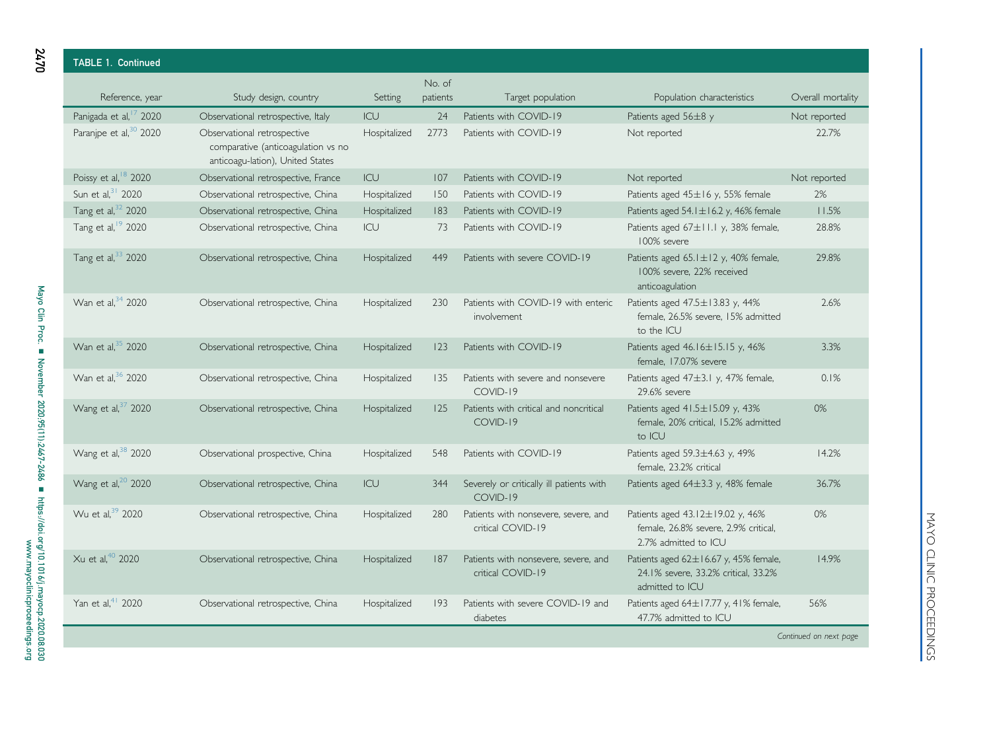| <b>TABLE 1. Continued</b>          |                                                                                                       |              |                    |                                                           |                                                                                                       |                        |
|------------------------------------|-------------------------------------------------------------------------------------------------------|--------------|--------------------|-----------------------------------------------------------|-------------------------------------------------------------------------------------------------------|------------------------|
| Reference, year                    | Study design, country                                                                                 | Setting      | No. of<br>patients | Target population                                         | Population characteristics                                                                            | Overall mortality      |
| Panigada et al, <sup>17</sup> 2020 | Observational retrospective, Italy                                                                    | ICU          | 24                 | Patients with COVID-19                                    | Patients aged 56±8 y                                                                                  | Not reported           |
| Paranjpe et al, <sup>30</sup> 2020 | Observational retrospective<br>comparative (anticoagulation vs no<br>anticoagu-lation), United States | Hospitalized | 2773               | Patients with COVID-19                                    | Not reported                                                                                          | 22.7%                  |
| Poissy et al, <sup>18</sup> 2020   | Observational retrospective, France                                                                   | ICU          | 107                | Patients with COVID-19                                    | Not reported                                                                                          | Not reported           |
| Sun et al, 31 2020                 | Observational retrospective, China                                                                    | Hospitalized | 150                | Patients with COVID-19                                    | Patients aged 45±16 y, 55% female                                                                     | 2%                     |
| Tang et al, 32 2020                | Observational retrospective, China                                                                    | Hospitalized | 183                | Patients with COVID-19                                    | Patients aged $54.1 \pm 16.2$ y, 46% female                                                           | 11.5%                  |
| Tang et al, <sup>19</sup> 2020     | Observational retrospective, China                                                                    | ICU          | 73                 | Patients with COVID-19                                    | Patients aged 67±11.1 y, 38% female,<br>100% severe                                                   | 28.8%                  |
| Tang et al, 33 2020                | Observational retrospective, China                                                                    | Hospitalized | 449                | Patients with severe COVID-19                             | Patients aged 65.1±12 y, 40% female,<br>100% severe, 22% received<br>anticoagulation                  | 29.8%                  |
| Wan et al, 34 2020                 | Observational retrospective, China                                                                    | Hospitalized | 230                | Patients with COVID-19 with enteric<br>involvement        | Patients aged 47.5±13.83 y, 44%<br>female, 26.5% severe, 15% admitted<br>to the ICU                   | 2.6%                   |
| Wan et al, 35 2020                 | Observational retrospective, China                                                                    | Hospitalized | 123                | Patients with COVID-19                                    | Patients aged 46.16±15.15 y, 46%<br>female, 17.07% severe                                             | 3.3%                   |
| Wan et al, 36 2020                 | Observational retrospective, China                                                                    | Hospitalized | 135                | Patients with severe and nonsevere<br>COVID-19            | Patients aged $47\pm3.1$ y, $47\%$ female,<br>29.6% severe                                            | 0.1%                   |
| Wang et al, 37 2020                | Observational retrospective, China                                                                    | Hospitalized | 125                | Patients with critical and noncritical<br>COVID-19        | Patients aged $41.5 \pm 15.09$ y, 43%<br>female, 20% critical, 15.2% admitted<br>to ICU               | 0%                     |
| Wang et al, 38 2020                | Observational prospective, China                                                                      | Hospitalized | 548                | Patients with COVID-19                                    | Patients aged 59.3±4.63 y, 49%<br>female. 23.2% critical                                              | 14.2%                  |
| Wang et al, <sup>20</sup> 2020     | Observational retrospective, China                                                                    | ICU          | 344                | Severely or critically ill patients with<br>COVID-19      | Patients aged $64\pm3.3$ y, 48% female                                                                | 36.7%                  |
| Wu et al, 39 2020                  | Observational retrospective, China                                                                    | Hospitalized | 280                | Patients with nonsevere, severe, and<br>critical COVID-19 | Patients aged 43.12±19.02 y, 46%<br>female, 26.8% severe, 2.9% critical,<br>2.7% admitted to ICU      | 0%                     |
| Xu et al. <sup>40</sup> 2020       | Observational retrospective, China                                                                    | Hospitalized | 187                | Patients with nonsevere, severe, and<br>critical COVID-19 | Patients aged $62 \pm 16.67$ y, 45% female,<br>24.1% severe, 33.2% critical, 33.2%<br>admitted to ICU | 14.9%                  |
| Yan et al, <sup>41</sup> 2020      | Observational retrospective, China                                                                    | Hospitalized | 193                | Patients with severe COVID-19 and<br>diabetes             | Patients aged 64±17.77 y, 41% female,<br>47.7% admitted to ICU                                        | 56%                    |
|                                    |                                                                                                       |              |                    |                                                           |                                                                                                       | Continued on next page |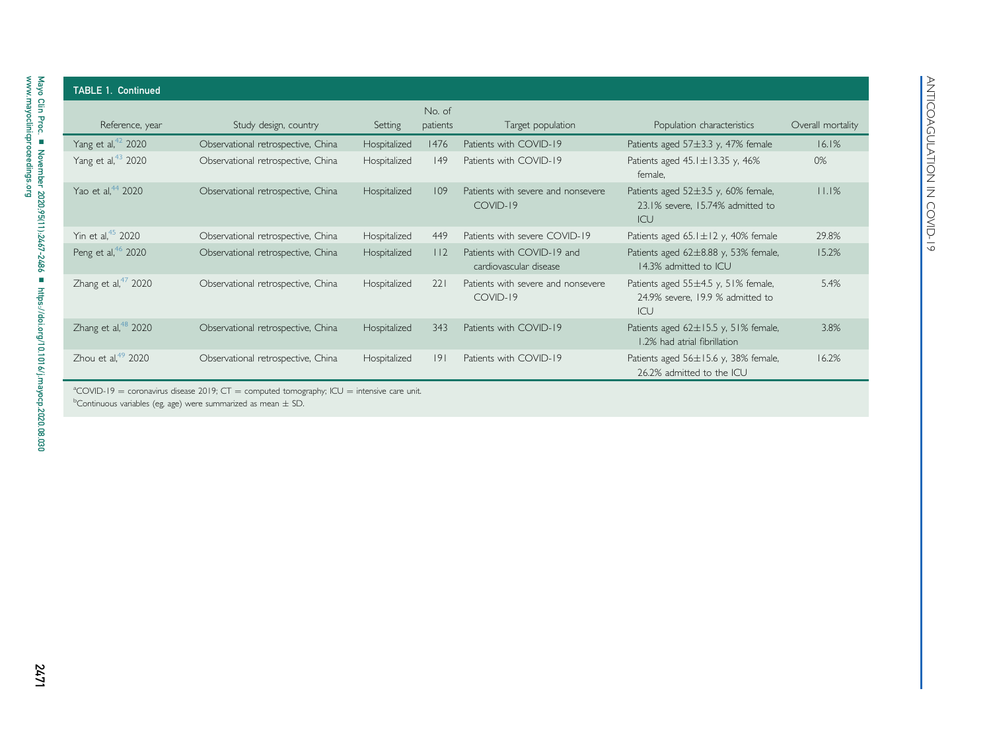| Reference, year                | Study design, country              | Setting      | No. of<br>patients | Target population                                    | Population characteristics                                                         | Overall mortality |
|--------------------------------|------------------------------------|--------------|--------------------|------------------------------------------------------|------------------------------------------------------------------------------------|-------------------|
| Yang et al, <sup>42</sup> 2020 | Observational retrospective, China | Hospitalized | 1476               | Patients with COVID-19                               | Patients aged 57±3.3 y, 47% female                                                 | 16.1%             |
| Yang et al, <sup>43</sup> 2020 | Observational retrospective, China | Hospitalized | $ 49\rangle$       | Patients with COVID-19                               | Patients aged $45.1 \pm 13.35$ y, $46\%$<br>female.                                | 0%                |
| Yao et al, <sup>44</sup> 2020  | Observational retrospective, China | Hospitalized | 109                | Patients with severe and nonsevere<br>COVID-19       | Patients aged $52\pm3.5$ y, 60% female,<br>23.1% severe. 15.74% admitted to<br>ICU | 11.1%             |
| Yin et al, <sup>45</sup> 2020  | Observational retrospective, China | Hospitalized | 449                | Patients with severe COVID-19                        | Patients aged $65.1 \pm 12$ y, 40% female                                          | 29.8%             |
| Peng et al, <sup>46</sup> 2020 | Observational retrospective, China | Hospitalized | 112                | Patients with COVID-19 and<br>cardiovascular disease | Patients aged 62±8.88 y, 53% female,<br>14.3% admitted to ICU                      | 15.2%             |
| Zhang et al, $47$ 2020         | Observational retrospective, China | Hospitalized | 221                | Patients with severe and nonsevere<br>COVID-19       | Patients aged 55±4.5 y, 51% female,<br>24.9% severe. 19.9 % admitted to<br>ICU     | 5.4%              |
| Zhang et al, $48$ 2020         | Observational retrospective, China | Hospitalized | 343                | Patients with COVID-19                               | Patients aged $62 \pm 15.5$ y, 51% female,<br>1.2% had atrial fibrillation         | 3.8%              |
| Zhou et al, $49$ 2020          | Observational retrospective, China | Hospitalized | 9                  | Patients with COVID-19                               | Patients aged 56±15.6 y, 38% female,<br>26.2% admitted to the ICU                  | 16.2%             |

<span id="page-4-1"></span><span id="page-4-0"></span> $\mathrm{^aCOVD}$ -19  $=$  coronavirus disease 2019; CT  $=$  computed tomography; ICU  $=$  intensive care unit.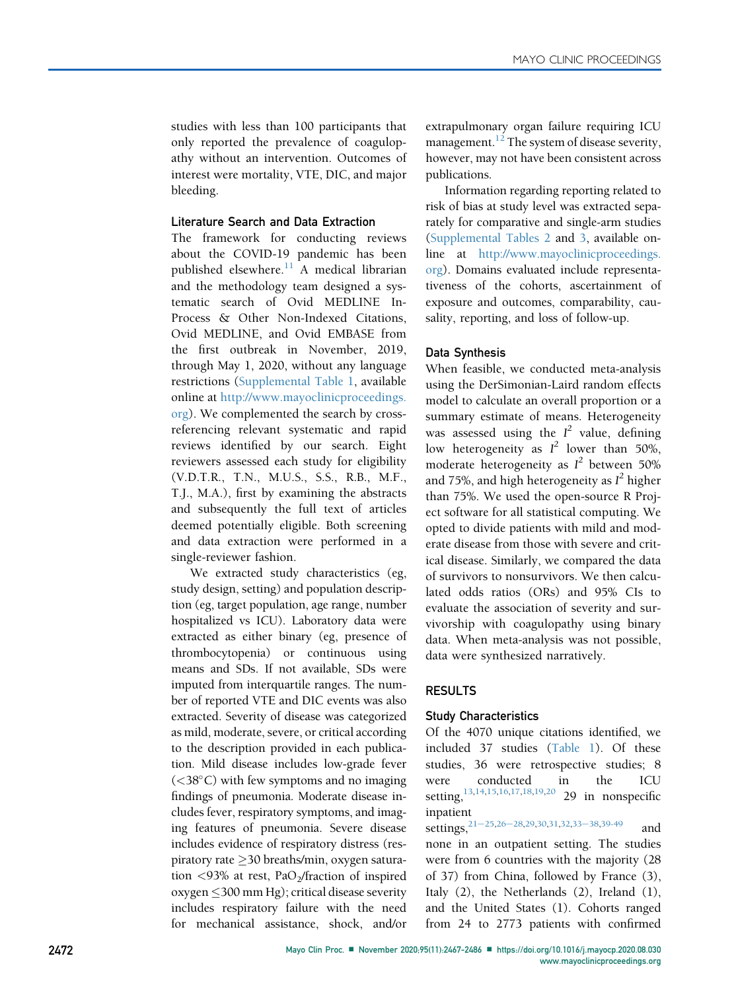studies with less than 100 participants that only reported the prevalence of coagulopathy without an intervention. Outcomes of interest were mortality, VTE, DIC, and major bleeding.

#### Literature Search and Data Extraction

The framework for conducting reviews about the COVID-19 pandemic has been published elsewhere. $11$  A medical librarian and the methodology team designed a systematic search of Ovid MEDLINE In-Process & Other Non-Indexed Citations, Ovid MEDLINE, and Ovid EMBASE from the first outbreak in November, 2019, through May 1, 2020, without any language restrictions (Supplemental Table 1, available online at [http://www.mayoclinicproceedings.](http://www.mayoclinicproceedings.org) [org](http://www.mayoclinicproceedings.org)). We complemented the search by crossreferencing relevant systematic and rapid reviews identified by our search. Eight reviewers assessed each study for eligibility (V.D.T.R., T.N., M.U.S., S.S., R.B., M.F., T.J., M.A.), first by examining the abstracts and subsequently the full text of articles deemed potentially eligible. Both screening and data extraction were performed in a single-reviewer fashion.

We extracted study characteristics (eg, study design, setting) and population description (eg, target population, age range, number hospitalized vs ICU). Laboratory data were extracted as either binary (eg, presence of thrombocytopenia) or continuous using means and SDs. If not available, SDs were imputed from interquartile ranges. The number of reported VTE and DIC events was also extracted. Severity of disease was categorized as mild, moderate, severe, or critical according to the description provided in each publication. Mild disease includes low-grade fever  $(<$ 38 $\degree$ C) with few symptoms and no imaging findings of pneumonia. Moderate disease includes fever, respiratory symptoms, and imaging features of pneumonia. Severe disease includes evidence of respiratory distress (respiratory rate  $\geq$ 30 breaths/min, oxygen saturation  $\langle 93\%$  at rest, PaO<sub>2</sub>/fraction of inspired oxygen  $\leq$ 300 mm Hg); critical disease severity includes respiratory failure with the need for mechanical assistance, shock, and/or

extrapulmonary organ failure requiring ICU management.<sup>[12](#page-17-17)</sup> The system of disease severity, however, may not have been consistent across publications.

Information regarding reporting related to risk of bias at study level was extracted separately for comparative and single-arm studies (Supplemental Tables 2 and 3, available online at [http://www.mayoclinicproceedings.](http://www.mayoclinicproceedings.org) [org\)](http://www.mayoclinicproceedings.org). Domains evaluated include representativeness of the cohorts, ascertainment of exposure and outcomes, comparability, causality, reporting, and loss of follow-up.

#### Data Synthesis

When feasible, we conducted meta-analysis using the DerSimonian-Laird random effects model to calculate an overall proportion or a summary estimate of means. Heterogeneity was assessed using the  $I^2$  value, defining low heterogeneity as  $I^2$  lower than 50%, moderate heterogeneity as  $I^2$  between 50% and 75%, and high heterogeneity as  $I^2$  higher than 75%. We used the open-source R Project software for all statistical computing. We opted to divide patients with mild and moderate disease from those with severe and critical disease. Similarly, we compared the data of survivors to nonsurvivors. We then calculated odds ratios (ORs) and 95% CIs to evaluate the association of severity and survivorship with coagulopathy using binary data. When meta-analysis was not possible, data were synthesized narratively.

#### RESULTS

#### Study Characteristics

Of the 4070 unique citations identified, we included 37 studies ([Table 1\)](#page-2-0). Of these studies, 36 were retrospective studies; 8 were conducted in the ICU setting, <sup>[13](#page-17-18),[14](#page-17-19)[,15,](#page-17-20)[16,](#page-17-21)[17](#page-17-22),[18](#page-17-23)[,19,](#page-17-24)[20](#page-17-25)</sup> 29 in nonspecific inpatient

settings,  $21-25,26-28,29,30,31,32,33-38,39-49$  $21-25,26-28,29,30,31,32,33-38,39-49$  $21-25,26-28,29,30,31,32,33-38,39-49$  $21-25,26-28,29,30,31,32,33-38,39-49$  $21-25,26-28,29,30,31,32,33-38,39-49$  $21-25,26-28,29,30,31,32,33-38,39-49$  $21-25,26-28,29,30,31,32,33-38,39-49$  $21-25,26-28,29,30,31,32,33-38,39-49$  $21-25,26-28,29,30,31,32,33-38,39-49$  $21-25,26-28,29,30,31,32,33-38,39-49$  $21-25,26-28,29,30,31,32,33-38,39-49$  $21-25,26-28,29,30,31,32,33-38,39-49$  $21-25,26-28,29,30,31,32,33-38,39-49$  and none in an outpatient setting. The studies were from 6 countries with the majority (28 of 37) from China, followed by France (3), Italy (2), the Netherlands (2), Ireland (1), and the United States (1). Cohorts ranged from 24 to 2773 patients with confirmed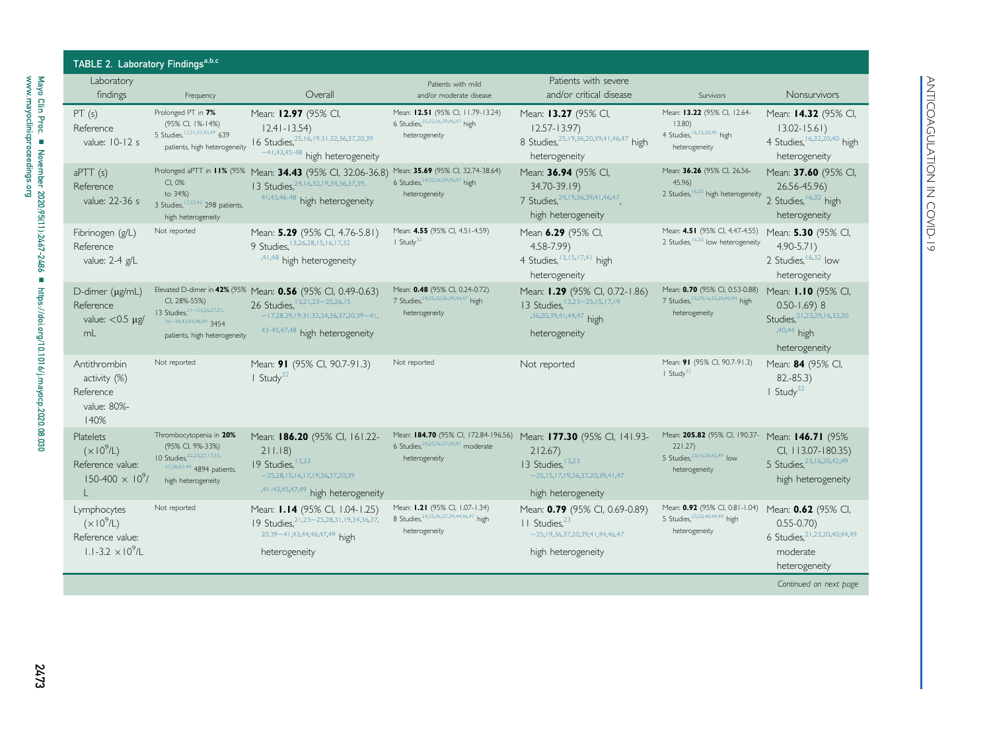| Ī           |
|-------------|
|             |
| :<br>?<br>ר |
|             |
|             |
|             |
|             |
|             |
| ۱<br>ا      |
| ı           |
|             |

<span id="page-6-0"></span>

| Laboratory<br>findings                                                            | Frequency                                                                                                                         | Overall                                                                                                                                                                         | Patients with mild<br>and/or moderate disease                                                       | Patients with severe<br>and/or critical disease                                                                                 | Survivors                                                                                                               | <b>Nonsurvivors</b>                                                                                           |
|-----------------------------------------------------------------------------------|-----------------------------------------------------------------------------------------------------------------------------------|---------------------------------------------------------------------------------------------------------------------------------------------------------------------------------|-----------------------------------------------------------------------------------------------------|---------------------------------------------------------------------------------------------------------------------------------|-------------------------------------------------------------------------------------------------------------------------|---------------------------------------------------------------------------------------------------------------|
| PT(s)<br>Reference<br>value: 10-12 s                                              | Prolonged PT in 7%<br>(95% CI, 1%-14%)<br>5 Studies, 17,31,37,43,49 639<br>patients, high heterogeneity                           | Mean: 12.97 (95% CI,<br>$12.41 - 13.54$<br>16 Studies, 25, 16, 19, 31, 32, 36, 37, 20, 39<br>$-41,43,45-48$ high heterogeneity                                                  | Mean: 12.51 (95% CI, 11.79-13.24)<br>6 Studies, 25, 32, 36, 39, 46, 47 high<br>heterogeneity        | Mean: 13.27 (95% CI,<br>$12.57 - 13.97$<br>8 Studies. 25, 19, 36, 20, 39, 41, 46, 47 high<br>heterogeneity                      | Mean: 13.22 (95% CI, 12.64-<br>13.80<br>4 Studies, 6,32,20,40 high<br>heterogeneity                                     | Mean: 14.32 (95% CI,<br>$13.02 - 15.61$<br>4 Studies, 6,32,20,40 high<br>heterogeneity                        |
| $a$ PTT $(s)$<br>Reference<br>value: 22-36 s                                      | CI, 0%<br>to 34%)<br>3 Studies, <sup>17,37,43</sup> 298 patients,<br>high heterogeneity                                           | Prolonged aPTT in 11% (95% Mean: 34.43 (95% CI, 32.06-36.8)<br>13 Studies. 24, 16, 32, 19, 34, 36, 37, 39,<br>41,43,46-48 high heterogeneity                                    | Mean: 35.69 (95% CI, 32.74-38.64)<br>6 Studies, 24, 32, 36, 39, 46, 47 high<br>heterogeneity        | Mean: 36.94 (95% CI,<br>34.70-39.19)<br>7 Studies, 24, 19, 36, 39, 41, 46, 47<br>high heterogeneity                             | Mean: 36.26 (95% CI, 26.56-<br>45.96<br>2 Studies, 6,32 high heterogeneity                                              | Mean: 37.60 (95% CI,<br>26.56-45.96)<br>2 Studies, <sup>16,32</sup> high<br>heterogeneity                     |
| Fibrinogen (g/L)<br>Reference<br>value: 2-4 g/L                                   | Not reported                                                                                                                      | Mean: 5.29 (95% CI, 4.76-5.81)<br>9 Studies, 13, 26, 28, 15, 16, 17, 32<br>,41,48 high heterogeneity                                                                            | Mean: 4.55 (95% CI, 4.51-4.59)<br>$I$ Study <sup>32</sup>                                           | Mean 6.29 (95% CI,<br>$4.58 - 7.99$<br>4 Studies, 13, 15, 17, 41 high<br>heterogeneity                                          | Mean: 4.51 (95% Cl, 4.47-4.55) Mean: 5.30 (95% Cl,<br>2 Studies, 6,32 low heterogeneity                                 | $4.90 - 5.71$<br>2 Studies, <sup>16,32</sup> low<br>heterogeneity                                             |
| D-dimer $(\mu g/mL)$<br>Reference<br>value: $<$ 0.5 $\mu$ g/<br>mL                | CI, 28%-55%)<br>13 Studies, $21 - 23,26,27,31$ ,<br>36-3843444849 3454<br>patients, high heterogeneity                            | Elevated D-dimer in 42% (95% Mean: 0.56 (95% CI, 0.49-0.63)<br>26 Studies, 13, 21, 23 - 25, 26, 15<br>$-17,28,29,19,31,32,34,36,37,20,39-41,$<br>43-45,47,48 high heterogeneity | Mean: 0.48 (95% CI, 0.24-0.72)<br>7 Studies, 24, 25, 32, 36, 39, 44, 47 high<br>heterogeneity       | Mean: 1.29 (95% CI, 0.72-1.86)<br>13 Studies, 13,23-25, 15, 17, 19<br>,36,20,39,41,44,47 high<br>heterogeneity                  | Mean: 0.70 (95% CI, 0.53-0.88)<br>7 Studies, 23, 29, 16, 32, 20, 40, 44 high<br>heterogeneity                           | Mean: 1.10 (95% Cl,<br>$0.50 - 1.69$ ) 8<br>Studies, 21, 23, 29, 16, 32, 20<br>$,40,44$ high<br>heterogeneity |
| Antithrombin<br>activity (%)<br>Reference<br>value: 80%-<br>140%                  | Not reported                                                                                                                      | Mean: 91 (95% CI, 90.7-91.3)<br>I Study <sup>32</sup>                                                                                                                           | Not reported                                                                                        | Not reported                                                                                                                    | Mean: 91 (95% CI, 90.7-91.3)<br>$I$ Study <sup>32</sup>                                                                 | Mean: 84 (95% CI,<br>$82.-85.3)$<br>$I$ Study <sup>32</sup>                                                   |
| Platelets<br>(x10 <sup>9</sup> /L)<br>Reference value:<br>$150-400 \times 10^9$ / | Thrombocytopenia in 20%<br>(95% CI, 9%-33%)<br>10 Studies. 22.23.27, 17.35.<br>37, 38, 42-44 4894 patients,<br>high heterogeneity | Mean: 186.20 (95% CI, 161.22-<br>211.18<br>19 Studies, 13,23<br>$-25.28$ , 15, 16, 17, 19, 36, 37, 20, 39<br>,41-43,45,47,49 high heterogeneity                                 | Mean: 184.70 (95% CI, 172.84-196.56)<br>6 Studies, 24, 25, 36, 37, 39, 47 moderate<br>heterogeneity | Mean: 177.30 (95% CI, 141.93-<br>212.67<br>13 Studies, 13,23<br>$-25, 15, 17, 19, 36, 37, 20, 39, 41, 47$<br>high heterogeneity | Mean: 205.82 (95% CI, 190.37- Mean: 146.71 (95%<br>221.27)<br>5 Studies. <sup>23,16,20,42,49</sup> low<br>heterogeneity | CI, 113.07-180.35)<br>5 Studies, 23, 16, 20, 42, 49<br>high heterogeneity                                     |
| Lymphocytes<br>$(x10^9/L)$<br>Reference value:<br>$1.1 - 3.2 \times 10^9$ /L      | Not reported                                                                                                                      | Mean: 1.14 (95% CI, 1.04-1.25)<br>19 Studies, 21, 23 - 25, 28, 31, 19, 34, 36, 37,<br>20,39-41,43,44,46,47,49 high<br>heterogeneity                                             | Mean: 1.21 (95% CI, 1.07-1.34)<br>8 Studies. 24, 25, 36, 37, 39, 44, 46, 47 high<br>heterogeneity   | Mean: 0.79 (95% CI, 0.69-0.89)<br>II Studies, <sup>23</sup><br>$-25, 19, 36, 37, 20, 39, 41, 44, 46, 47$<br>high heterogeneity  | Mean: 0.92 (95% CI, 0.81-1.04) Mean: 0.62 (95% CI,<br>5 Studies. 23, 20, 40, 44, 49 high<br>heterogeneity               | $0.55 - 0.70$<br>6 Studies, 21, 23, 20, 40, 44, 49<br>moderate<br>heterogeneity                               |

Continued on next page

2473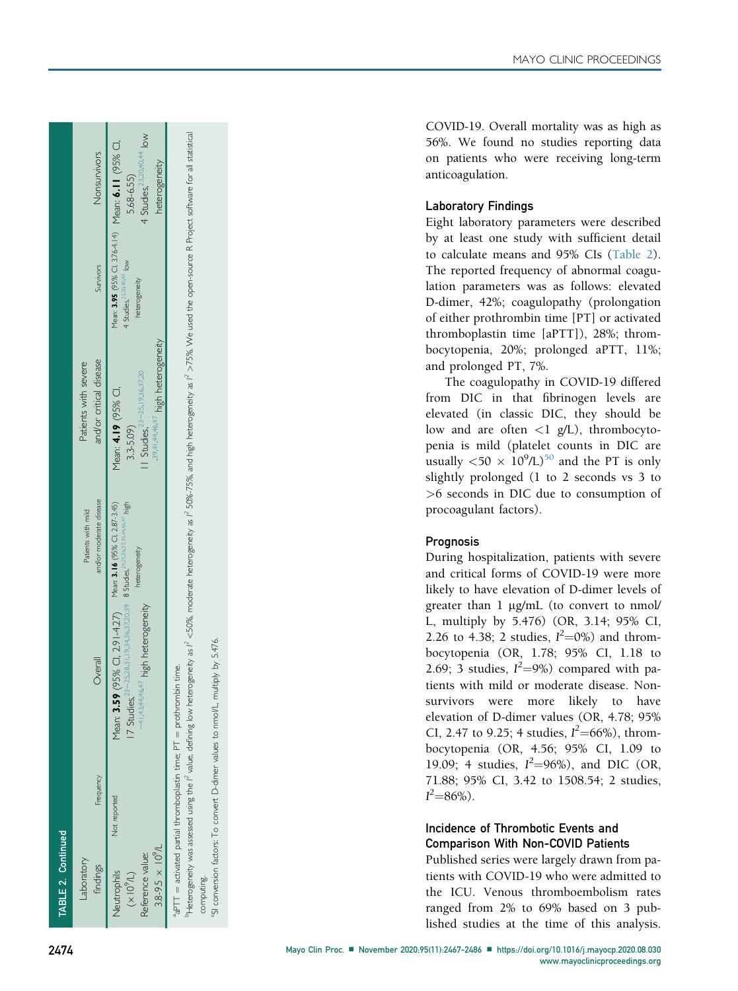| TABLE 2. Continued                                                                            |           |                                                                                                                                                                                                                           |                                                                    |                                                                                                       |                                                                                                              |                                                                      |
|-----------------------------------------------------------------------------------------------|-----------|---------------------------------------------------------------------------------------------------------------------------------------------------------------------------------------------------------------------------|--------------------------------------------------------------------|-------------------------------------------------------------------------------------------------------|--------------------------------------------------------------------------------------------------------------|----------------------------------------------------------------------|
| aboratory<br>findings                                                                         | Frequency | Overall                                                                                                                                                                                                                   | and/or moderate disease<br>Patients with mild                      | and/or critical disease<br>Patients with severe                                                       | Survivors                                                                                                    | Nonsurvivors                                                         |
| Not reported<br>$3.8 - 9.5 \times 10^{9}/L$<br>Reference value:<br>Neutrophils<br>$(X10^9/L)$ |           | 17 Studies, 23-25, 28, 31, 19, 34, 36, 37, 20, 39 8 Studies, 24, 3, 3, 3, 3, 3, 4, 4, 4, 4, high<br><sup>+/</sup> high heterogeneity<br>$-414344464$<br>Mean: $3.59$                                                      | 95% CI, 2.91-4.27) Mean: 3.16 (95% CI, 2.87-3.45)<br>heterogeneity | 39414446,47 high heterogeneity<br>1 Studies, $23-25.1936,3720$<br>Mean: 4.19 (95% CI,<br>$3.3 - 5.09$ | Mean: 3.95 (95% Cl, 3.76-4.14) Mean: 6.11 (95% Cl,<br>4 Studies, <sup>23,20,40,44</sup> low<br>heterogeneity | 4 Studies. <sup>23,20,40,44</sup> low<br>heterogeneity<br>5.68-6.55) |
| $a_{aPTT}$ = activated partial thromboplastin time; PT = prothrombin time.<br>computing.      |           | "Heterogeneity was assesed using the F value, defining low heterogeneity as f <50%, moderate heterogeneity as f 50%-75%, and high heterogeneity as f >75%. We used the open-source R Project software for all statistical |                                                                    |                                                                                                       |                                                                                                              |                                                                      |

conversion factors: To convert D-dimer values to nmol/L, multiply by 5.476. cSI conversion factors: To convert D-dimer values to nmol/L, multiply by 5.476.  $\overline{\zeta}$  COVID-19. Overall mortality was as high as 56%. We found no studies reporting data on patients who were receiving long-term anticoagulation.

## <span id="page-7-1"></span><span id="page-7-0"></span>Laboratory Findings

<span id="page-7-2"></span>Eight laboratory parameters were described by at least one study with sufficient detail to calculate means and 95% CIs [\(Table 2\)](#page-6-0). The reported frequency of abnormal coagulation parameters was as follows: elevated D-dimer, 42%; coagulopathy (prolongation of either prothrombin time [PT] or activated thromboplastin time [aPTT]), 28%; thrombocytopenia, 20%; prolonged aPTT, 11%; and prolonged PT, 7%.

The coagulopathy in COVID-19 differed from DIC in that fibrinogen levels are elevated (in classic DIC, they should be low and are often <1 g/L), thrombocytopenia is mild (platelet counts in DIC are usually  $\langle 50 \times 10^9 / L \rangle^{50}$  $\langle 50 \times 10^9 / L \rangle^{50}$  $\langle 50 \times 10^9 / L \rangle^{50}$  and the PT is only slightly prolonged (1 to 2 seconds vs 3 to >6 seconds in DIC due to consumption of procoagulant factors).

## Prognosis

During hospitalization, patients with severe and critical forms of COVID-19 were more likely to have elevation of D-dimer levels of greater than 1  $\mu$ g/mL (to convert to nmol/<br>I multiply by 5.476) (OP 3.14: 05% CI L, multiply by 5.476) (OR, 3.14; 95% CI, 2.26 to 4.38; 2 studies,  $I^2 = 0\%$  and thrombocytopenia (OR, 1.78; 95% CI, 1.18 to 2.69; 3 studies,  $I^2=9\%)$  compared with patients with mild or moderate disease. Nonsurvivors were more likely to have elevation of D-dimer values (OR, 4.78; 95% CI, 2.47 to 9.25; 4 studies,  $I^2 = 66\%$ , thrombocytopenia (OR, 4.56; 95% CI, 1.09 to 19.09; 4 studies,  $I^2 = 96\%$ ), and DIC (OR, 71.88; 95% CI, 3.42 to 1508.54; 2 studies,  $I^2 = 86\%$ ).

## Incidence of Thrombotic Events and Comparison With Non-COVID Patients

Published series were largely drawn from patients with COVID-19 who were admitted to the ICU. Venous thromboembolism rates ranged from 2% to 69% based on 3 published studies at the time of this analysis.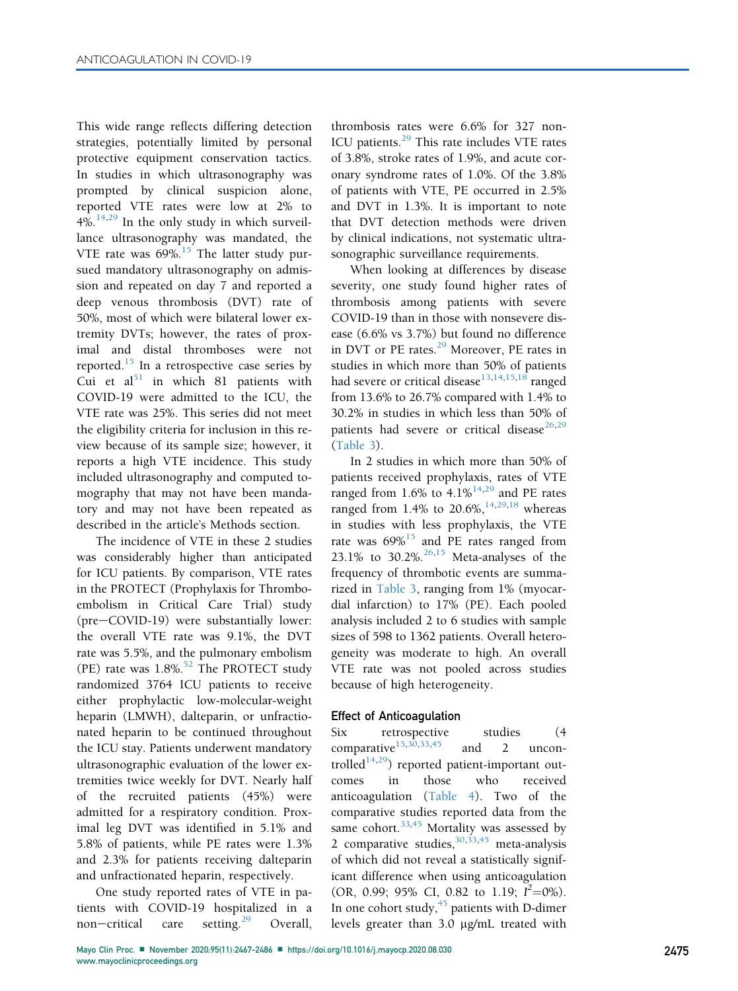This wide range reflects differing detection strategies, potentially limited by personal protective equipment conservation tactics. In studies in which ultrasonography was prompted by clinical suspicion alone, reported VTE rates were low at 2% to  $4\%$ .<sup>[14](#page-17-19)[,29](#page-18-27)</sup> In the only study in which surveillance ultrasonography was mandated, the VTE rate was  $69\%$ .<sup>[15](#page-17-20)</sup> The latter study pursued mandatory ultrasonography on admission and repeated on day 7 and reported a deep venous thrombosis (DVT) rate of 50%, most of which were bilateral lower extremity DVTs; however, the rates of proximal and distal thromboses were not reported.<sup>[15](#page-17-20)</sup> In a retrospective case series by Cui et  $al<sup>51</sup>$  $al<sup>51</sup>$  $al<sup>51</sup>$  in which 81 patients with COVID-19 were admitted to the ICU, the VTE rate was 25%. This series did not meet the eligibility criteria for inclusion in this review because of its sample size; however, it reports a high VTE incidence. This study included ultrasonography and computed tomography that may not have been mandatory and may not have been repeated as described in the article's Methods section.

The incidence of VTE in these 2 studies was considerably higher than anticipated for ICU patients. By comparison, VTE rates in the PROTECT (Prophylaxis for Thromboembolism in Critical Care Trial) study  $(pre-COVID-19)$  were substantially lower: the overall VTE rate was 9.1%, the DVT rate was 5.5%, and the pulmonary embolism (PE) rate was  $1.8\%$ .<sup>[52](#page-18-47)</sup> The PROTECT study randomized 3764 ICU patients to receive either prophylactic low-molecular-weight heparin (LMWH), dalteparin, or unfractionated heparin to be continued throughout the ICU stay. Patients underwent mandatory ultrasonographic evaluation of the lower extremities twice weekly for DVT. Nearly half of the recruited patients (45%) were admitted for a respiratory condition. Proximal leg DVT was identified in 5.1% and 5.8% of patients, while PE rates were 1.3% and 2.3% for patients receiving dalteparin and unfractionated heparin, respectively.

One study reported rates of VTE in patients with COVID-19 hospitalized in a non-critical care setting.<sup>[29](#page-18-27)</sup> Overall,

thrombosis rates were 6.6% for 327 non-ICU patients.<sup>[29](#page-18-27)</sup> This rate includes VTE rates of 3.8%, stroke rates of 1.9%, and acute coronary syndrome rates of 1.0%. Of the 3.8% of patients with VTE, PE occurred in 2.5% and DVT in 1.3%. It is important to note that DVT detection methods were driven by clinical indications, not systematic ultrasonographic surveillance requirements.

When looking at differences by disease severity, one study found higher rates of thrombosis among patients with severe COVID-19 than in those with nonsevere disease (6.6% vs 3.7%) but found no difference in DVT or PE rates.<sup>[29](#page-18-27)</sup> Moreover, PE rates in studies in which more than 50% of patients had severe or critical disease<sup>[13](#page-17-18),[14,](#page-17-19)[15](#page-17-20),[18](#page-17-23)</sup> ranged from 13.6% to 26.7% compared with 1.4% to 30.2% in studies in which less than 50% of patients had severe or critical disease<sup>[26,](#page-18-26)[29](#page-18-27)</sup> [\(Table 3](#page-9-0)).

In 2 studies in which more than 50% of patients received prophylaxis, rates of VTE ranged from  $1.6\%$  to  $4.1\%^{14,29}$  $4.1\%^{14,29}$  $4.1\%^{14,29}$  $4.1\%^{14,29}$  and PE rates ranged from 1.4% to 20.6%,  $14,29,18$  $14,29,18$  $14,29,18$  $14,29,18$  whereas in studies with less prophylaxis, the VTE rate was  $69\%$ <sup>[15](#page-17-20)</sup> and PE rates ranged from 23.1% to 30.2%.<sup>[26](#page-17-25)[,15](#page-17-20)</sup> Meta-analyses of the frequency of thrombotic events are summarized in [Table 3](#page-9-0), ranging from 1% (myocardial infarction) to 17% (PE). Each pooled analysis included 2 to 6 studies with sample sizes of 598 to 1362 patients. Overall heterogeneity was moderate to high. An overall VTE rate was not pooled across studies because of high heterogeneity.

#### Effect of Anticoagulation

Six retrospective studies (4 comparative<sup>[15](#page-17-20)[,30,](#page-18-28)[33](#page-18-30)[,45](#page-18-48)</sup> and 2 uncontrolled<sup>14,29</sup>) reported patient-important outcomes in those who received anticoagulation [\(Table 4\)](#page-12-0). Two of the comparative studies reported data from the same cohort. $33,45$  $33,45$  $33,45$  Mortality was assessed by 2 comparative studies,  $30,33,45$  $30,33,45$  $30,33,45$  meta-analysis of which did not reveal a statistically significant difference when using anticoagulation (OR, 0.99; 95% CI, 0.82 to 1.19;  $I^2=0$ %). In one cohort study,  $45$  patients with D-dimer levels greater than 3.0 mg/mL treated with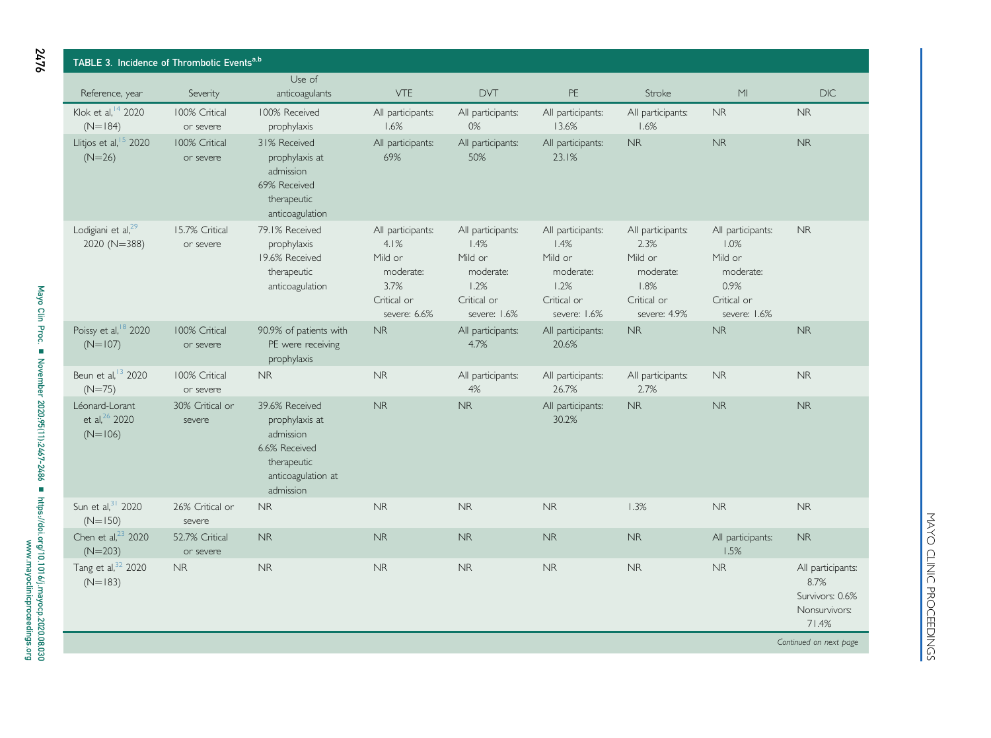<span id="page-9-0"></span>

| TABLE 3. Incidence of Thrombotic Eventsa,b               |                             |                                                                                                                  |                                                                                          |                                                                                          |                                                                                          |                                                                                          |                                                                                          |                                                                        |  |
|----------------------------------------------------------|-----------------------------|------------------------------------------------------------------------------------------------------------------|------------------------------------------------------------------------------------------|------------------------------------------------------------------------------------------|------------------------------------------------------------------------------------------|------------------------------------------------------------------------------------------|------------------------------------------------------------------------------------------|------------------------------------------------------------------------|--|
| Reference, year                                          | Severity                    | Use of<br>anticoagulants                                                                                         | <b>VTE</b>                                                                               | <b>DVT</b>                                                                               | PE                                                                                       | Stroke                                                                                   | M <sub>l</sub>                                                                           | <b>DIC</b>                                                             |  |
| Klok et al, <sup>14</sup> 2020<br>$(N=184)$              | 100% Critical<br>or severe  | 100% Received<br>prophylaxis                                                                                     | All participants:<br>1.6%                                                                | All participants:<br>$0\%$                                                               | All participants:<br>13.6%                                                               | All participants:<br>1.6%                                                                | <b>NR</b>                                                                                | <b>NR</b>                                                              |  |
| Llitjos et al, <sup>15</sup> 2020<br>$(N=26)$            | 100% Critical<br>or severe  | 31% Received<br>prophylaxis at<br>admission<br>69% Received<br>therapeutic<br>anticoagulation                    | All participants:<br>69%                                                                 | All participants:<br>50%                                                                 | All participants:<br>23.1%                                                               | <b>NR</b>                                                                                | <b>NR</b>                                                                                | <b>NR</b>                                                              |  |
| Lodigiani et al, <sup>29</sup><br>2020 (N=388)           | 15.7% Critical<br>or severe | 79.1% Received<br>prophylaxis<br>19.6% Received<br>therapeutic<br>anticoagulation                                | All participants:<br>4.1%<br>Mild or<br>moderate:<br>3.7%<br>Critical or<br>severe: 6.6% | All participants:<br>1.4%<br>Mild or<br>moderate:<br>1.2%<br>Critical or<br>severe: 1.6% | All participants:<br>1.4%<br>Mild or<br>moderate:<br>1.2%<br>Critical or<br>severe: 1.6% | All participants:<br>2.3%<br>Mild or<br>moderate:<br>1.8%<br>Critical or<br>severe: 4.9% | All participants:<br>1.0%<br>Mild or<br>moderate:<br>0.9%<br>Critical or<br>severe: 1.6% | <b>NR</b>                                                              |  |
| Poissy et al, <sup>18</sup> 2020<br>$(N=107)$            | 100% Critical<br>or severe  | 90.9% of patients with<br>PE were receiving<br>prophylaxis                                                       | <b>NR</b>                                                                                | All participants:<br>4.7%                                                                | All participants:<br>20.6%                                                               | <b>NR</b>                                                                                | <b>NR</b>                                                                                | <b>NR</b>                                                              |  |
| Beun et al, <sup>13</sup> 2020<br>$(N=75)$               | 100% Critical<br>or severe  | <b>NR</b>                                                                                                        | <b>NR</b>                                                                                | All participants:<br>4%                                                                  | All participants:<br>26.7%                                                               | All participants:<br>2.7%                                                                | <b>NR</b>                                                                                | <b>NR</b>                                                              |  |
| Léonard-Lorant<br>et al, <sup>26</sup> 2020<br>$(N=106)$ | 30% Critical or<br>severe   | 39.6% Received<br>prophylaxis at<br>admission<br>6.6% Received<br>therapeutic<br>anticoagulation at<br>admission | <b>NR</b>                                                                                | <b>NR</b>                                                                                | All participants:<br>30.2%                                                               | <b>NR</b>                                                                                | <b>NR</b>                                                                                | <b>NR</b>                                                              |  |
| Sun et al, 31 2020<br>$(N=150)$                          | 26% Critical or<br>severe   | <b>NR</b>                                                                                                        | <b>NR</b>                                                                                | <b>NR</b>                                                                                | <b>NR</b>                                                                                | 1.3%                                                                                     | <b>NR</b>                                                                                | <b>NR</b>                                                              |  |
| Chen et al, <sup>23</sup> 2020<br>$(N=203)$              | 52.7% Critical<br>or severe | <b>NR</b>                                                                                                        | <b>NR</b>                                                                                | <b>NR</b>                                                                                | <b>NR</b>                                                                                | <b>NR</b>                                                                                | All participants:<br>1.5%                                                                | <b>NR</b>                                                              |  |
| Tang et al, 32 2020<br>$(N=183)$                         | $\sf NR$                    | $\sf NR$                                                                                                         | <b>NR</b>                                                                                | <b>NR</b>                                                                                | <b>NR</b>                                                                                | <b>NR</b>                                                                                | $\sf NR$                                                                                 | All participants:<br>8.7%<br>Survivors: 0.6%<br>Nonsurvivors:<br>71.4% |  |
|                                                          |                             |                                                                                                                  |                                                                                          |                                                                                          |                                                                                          |                                                                                          |                                                                                          | Continued on next page                                                 |  |

MAYO CLINIC PROCEEDINGS MAYO CLINIC PROCEEDINGS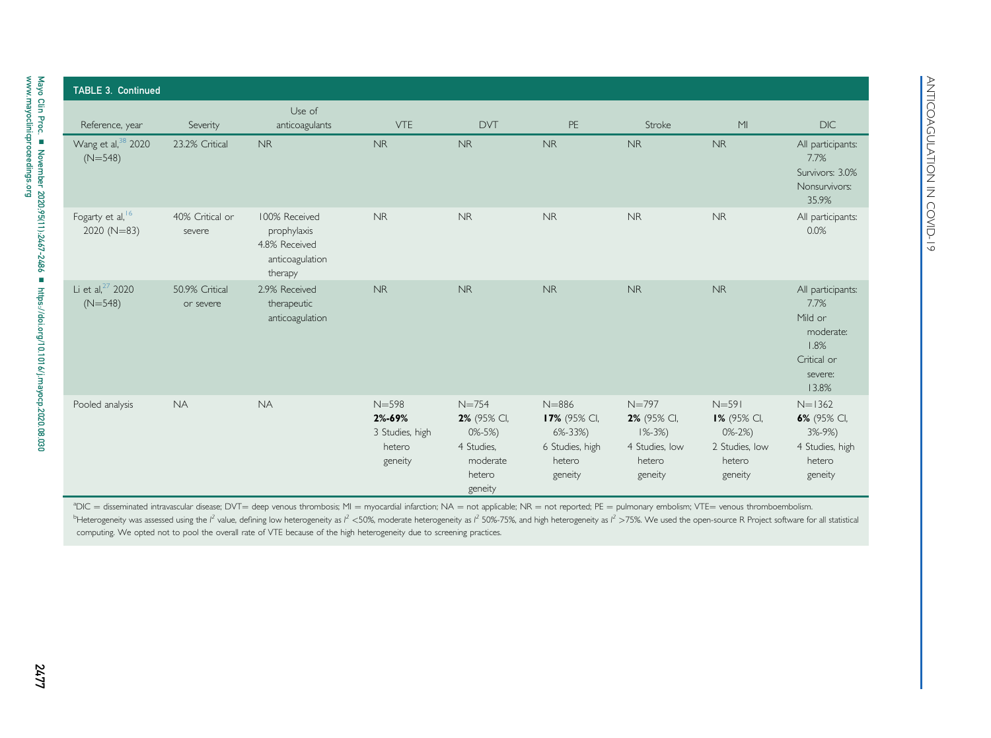|                                             |                             | Use of                                                                      |                                                             |                                                                                        |                                                                                    |                                                                                |                                                                                      |                                                                                              |
|---------------------------------------------|-----------------------------|-----------------------------------------------------------------------------|-------------------------------------------------------------|----------------------------------------------------------------------------------------|------------------------------------------------------------------------------------|--------------------------------------------------------------------------------|--------------------------------------------------------------------------------------|----------------------------------------------------------------------------------------------|
| Reference, year                             | Severity                    | anticoagulants                                                              | <b>VTE</b>                                                  | <b>DVT</b>                                                                             | PE                                                                                 | Stroke                                                                         | M <sub>l</sub>                                                                       | <b>DIC</b>                                                                                   |
| Wang et al, <sup>38</sup> 2020<br>$(N=548)$ | 23.2% Critical              | <b>NR</b>                                                                   | <b>NR</b>                                                   | <b>NR</b>                                                                              | <b>NR</b>                                                                          | <b>NR</b>                                                                      | <b>NR</b>                                                                            | All participants:<br>7.7%<br>Survivors: 3.0%<br>Nonsurvivors:<br>35.9%                       |
| Fogarty et al, 16<br>$2020 (N=83)$          | 40% Critical or<br>severe   | 100% Received<br>prophylaxis<br>4.8% Received<br>anticoagulation<br>therapy | NR                                                          | <b>NR</b>                                                                              | <b>NR</b>                                                                          | <b>NR</b>                                                                      | <b>NR</b>                                                                            | All participants:<br>0.0%                                                                    |
| Li et al, <sup>27</sup> 2020<br>$(N=548)$   | 50.9% Critical<br>or severe | 2.9% Received<br>therapeutic<br>anticoagulation                             | <b>NR</b>                                                   | <b>NR</b>                                                                              | <b>NR</b>                                                                          | <b>NR</b>                                                                      | <b>NR</b>                                                                            | All participants:<br>7.7%<br>Mild or<br>moderate:<br>1.8%<br>Critical or<br>severe:<br>13.8% |
| Pooled analysis                             | <b>NA</b>                   | <b>NA</b>                                                                   | $N = 598$<br>2%-69%<br>3 Studies, high<br>hetero<br>geneity | $N = 754$<br>2% (95% CI,<br>$0\% - 5\%$<br>4 Studies.<br>moderate<br>hetero<br>geneity | $N = 886$<br>17% (95% CI,<br>$6\% - 33\%)$<br>6 Studies, high<br>hetero<br>geneity | $N = 797$<br>2% (95% CI,<br>$1\% - 3\%$<br>4 Studies, low<br>hetero<br>geneity | $N=591$<br><b>1%</b> (95% CI,<br>$0\% - 2\%)$<br>2 Studies, low<br>hetero<br>geneity | $N=1362$<br>6% (95% CI,<br>$3% -9%$<br>4 Studies, high<br>hetero<br>geneity                  |

<span id="page-10-1"></span><span id="page-10-0"></span> $^4$ DIC = disseminated intravascular disease; DVT= deep venous thrombosis; MI = myocardial infarction; NA = not applicable; NR = not reported; PE = pulmonary embolism; VTE= venous thromboembolism. <sup>b</sup>Heterogeneity was assessed using the I<sup>2</sup> value, defining low heterogeneity as I<sup>2</sup> <50%, moderate heterogeneity as I<sup>2</sup> 50%-75%, and high heterogeneity as I<sup>2</sup> >75%. We used the open-source R Project software for all computing. We opted not to pool the overall rate of VTE because of the high heterogeneity due to screening practices.

[www.mayoclinicproceedings.org](http://www.mayoclinicproceedings.org)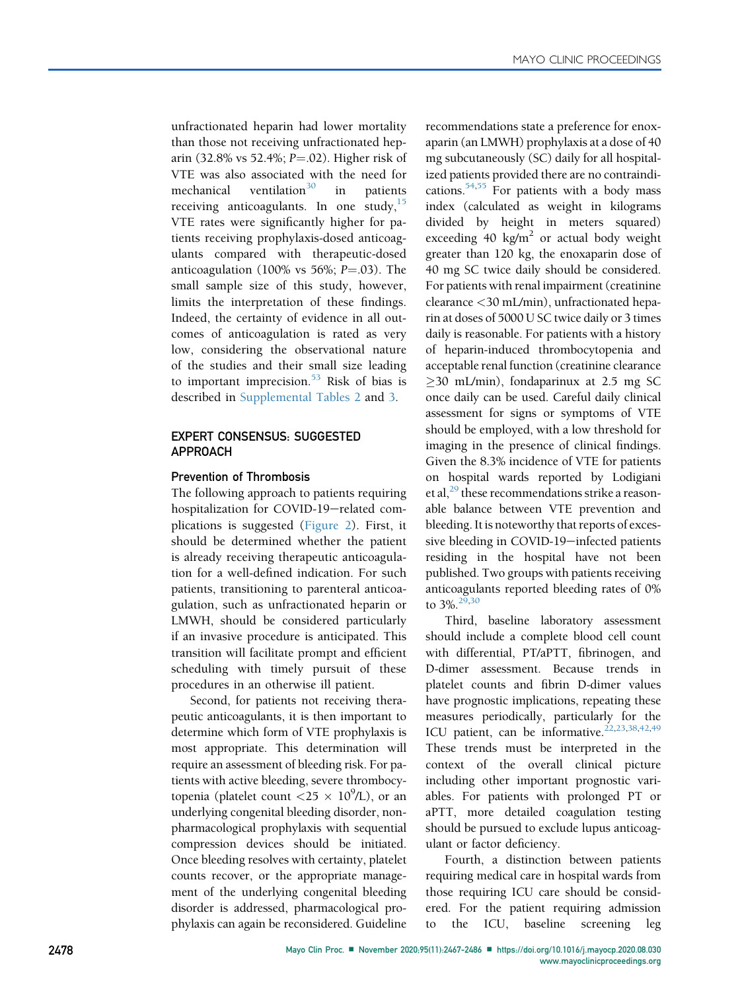unfractionated heparin had lower mortality than those not receiving unfractionated heparin (32.8% vs 52.4%;  $P = .02$ ). Higher risk of VTE was also associated with the need for mechanical ventilation<sup>[30](#page-18-28)</sup> in patients receiving anticoagulants. In one study,  $15$ VTE rates were significantly higher for patients receiving prophylaxis-dosed anticoagulants compared with therapeutic-dosed anticoagulation (100% vs 56%;  $P = .03$ ). The small sample size of this study, however, limits the interpretation of these findings. Indeed, the certainty of evidence in all outcomes of anticoagulation is rated as very low, considering the observational nature of the studies and their small size leading to important imprecision. $53$  Risk of bias is described in Supplemental Tables 2 and 3.

### EXPERT CONSENSUS: SUGGESTED APPROACH

#### Prevention of Thrombosis

The following approach to patients requiring hospitalization for COVID-19-related complications is suggested ([Figure 2](#page-13-0)). First, it should be determined whether the patient is already receiving therapeutic anticoagulation for a well-defined indication. For such patients, transitioning to parenteral anticoagulation, such as unfractionated heparin or LMWH, should be considered particularly if an invasive procedure is anticipated. This transition will facilitate prompt and efficient scheduling with timely pursuit of these procedures in an otherwise ill patient.

Second, for patients not receiving therapeutic anticoagulants, it is then important to determine which form of VTE prophylaxis is most appropriate. This determination will require an assessment of bleeding risk. For patients with active bleeding, severe thrombocytopenia (platelet count  $\langle 25 \times 10^9 \text{/L} \rangle$ , or an underlying congenital bleeding disorder, nonpharmacological prophylaxis with sequential compression devices should be initiated. Once bleeding resolves with certainty, platelet counts recover, or the appropriate management of the underlying congenital bleeding disorder is addressed, pharmacological prophylaxis can again be reconsidered. Guideline recommendations state a preference for enoxaparin (an LMWH) prophylaxis at a dose of 40 mg subcutaneously (SC) daily for all hospitalized patients provided there are no contraindications. $54,55$  $54,55$  For patients with a body mass index (calculated as weight in kilograms divided by height in meters squared) exceeding 40 kg/m<sup>2</sup> or actual body weight greater than 120 kg, the enoxaparin dose of 40 mg SC twice daily should be considered. For patients with renal impairment (creatinine clearance <30 mL/min), unfractionated heparin at doses of 5000 U SC twice daily or 3 times daily is reasonable. For patients with a history of heparin-induced thrombocytopenia and acceptable renal function (creatinine clearance  $\geq$ 30 mL/min), fondaparinux at 2.5 mg SC once daily can be used. Careful daily clinical assessment for signs or symptoms of VTE should be employed, with a low threshold for imaging in the presence of clinical findings. Given the 8.3% incidence of VTE for patients on hospital wards reported by Lodigiani et al, $^{29}$  $^{29}$  $^{29}$  these recommendations strike a reasonable balance between VTE prevention and bleeding. It is noteworthy that reports of excessive bleeding in COVID-19-infected patients residing in the hospital have not been published. Two groups with patients receiving anticoagulants reported bleeding rates of 0% to  $3\%$ <sup>[29](#page-18-27)[,30](#page-18-28)</sup>

Third, baseline laboratory assessment should include a complete blood cell count with differential, PT/aPTT, fibrinogen, and D-dimer assessment. Because trends in platelet counts and fibrin D-dimer values have prognostic implications, repeating these measures periodically, particularly for the ICU patient, can be informative.<sup>[22](#page-17-30)[,23](#page-17-29)[,38](#page-18-52)[,42,](#page-18-53)[49](#page-18-54)</sup> These trends must be interpreted in the context of the overall clinical picture including other important prognostic variables. For patients with prolonged PT or aPTT, more detailed coagulation testing should be pursued to exclude lupus anticoagulant or factor deficiency.

Fourth, a distinction between patients requiring medical care in hospital wards from those requiring ICU care should be considered. For the patient requiring admission to the ICU, baseline screening leg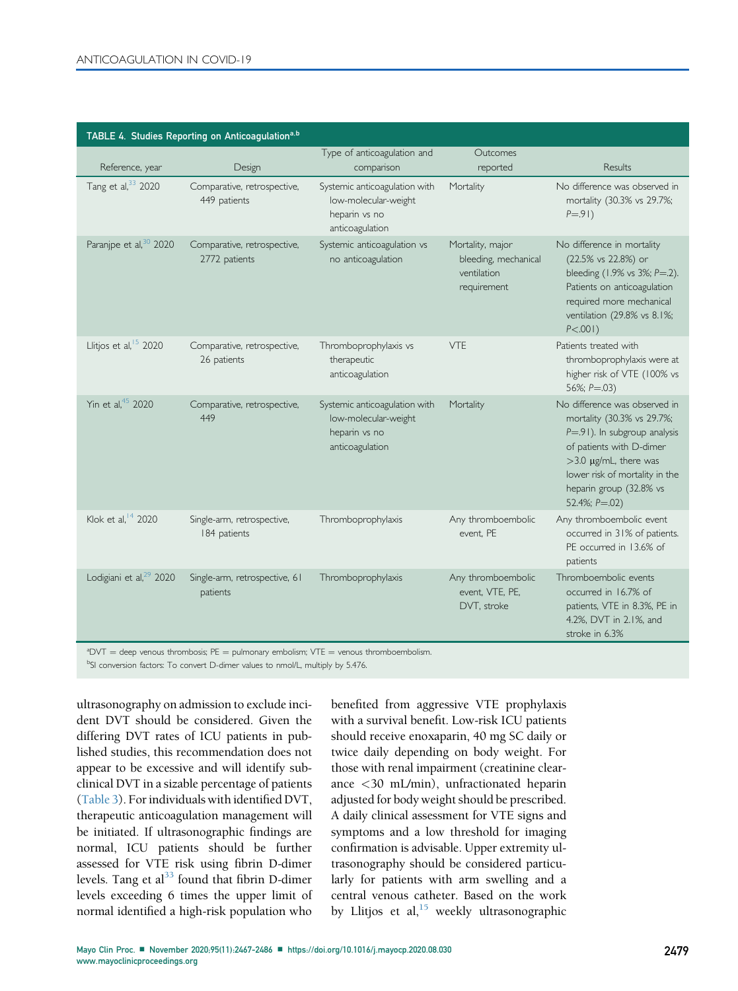<span id="page-12-0"></span>

|                                     | TABLE 4. Studies Reporting on Anticoagulation <sup>a,b</sup>                                    |                                                                                           |                                                                        |                                                                                                                                                                                                                                          |
|-------------------------------------|-------------------------------------------------------------------------------------------------|-------------------------------------------------------------------------------------------|------------------------------------------------------------------------|------------------------------------------------------------------------------------------------------------------------------------------------------------------------------------------------------------------------------------------|
| Reference, year                     | Design                                                                                          | Type of anticoagulation and<br>comparison                                                 | Outcomes<br>reported                                                   | <b>Results</b>                                                                                                                                                                                                                           |
| Tang et al, 33 2020                 | Comparative, retrospective,<br>449 patients                                                     | Systemic anticoagulation with<br>low-molecular-weight<br>heparin vs no<br>anticoagulation | Mortality                                                              | No difference was observed in<br>mortality (30.3% vs 29.7%;<br>$P = .91)$                                                                                                                                                                |
| Paranjpe et al, <sup>30</sup> 2020  | Comparative, retrospective,<br>2772 patients                                                    | Systemic anticoagulation vs<br>no anticoagulation                                         | Mortality, major<br>bleeding, mechanical<br>ventilation<br>requirement | No difference in mortality<br>(22.5% vs 22.8%) or<br>bleeding (1.9% vs 3%; P=.2).<br>Patients on anticoagulation<br>required more mechanical<br>ventilation (29.8% vs 8.1%;<br>$P < .001$ )                                              |
| Llitjos et al, <sup>15</sup> 2020   | Comparative, retrospective,<br>26 patients                                                      | Thromboprophylaxis vs<br>therapeutic<br>anticoagulation                                   | <b>VTE</b>                                                             | Patients treated with<br>thromboprophylaxis were at<br>higher risk of VTE (100% vs<br>56%; $P = .03$ )                                                                                                                                   |
| Yin et al, 45 2020                  | Comparative, retrospective,<br>449                                                              | Systemic anticoagulation with<br>low-molecular-weight<br>heparin vs no<br>anticoagulation | Mortality                                                              | No difference was observed in<br>mortality (30.3% vs 29.7%;<br>$P = .91$ ). In subgroup analysis<br>of patients with D-dimer<br>>3.0 µg/mL, there was<br>lower risk of mortality in the<br>heparin group (32.8% vs<br>52.4%; $P = .02$ ) |
| Klok et al, <sup>14</sup> 2020      | Single-arm, retrospective,<br>184 patients                                                      | Thromboprophylaxis                                                                        | Any thromboembolic<br>event, PE                                        | Any thromboembolic event<br>occurred in 31% of patients.<br>PE occurred in 13.6% of<br>patients                                                                                                                                          |
| Lodigiani et al, <sup>29</sup> 2020 | Single-arm, retrospective, 61<br>patients                                                       | Thromboprophylaxis                                                                        | Any thromboembolic<br>event, VTE, PE,<br>DVT, stroke                   | Thromboembolic events<br>occurred in 16.7% of<br>patients, VTE in 8.3%, PE in<br>4.2%, DVT in 2.1%, and<br>stroke in 6.3%                                                                                                                |
|                                     | $\lambda^2$ DVT = deep venous thrombosis: PE = pulmonary embolism: VTE = venous thromboembolism |                                                                                           |                                                                        |                                                                                                                                                                                                                                          |

<span id="page-12-1"></span>ªDVT = deep venous thrombosis; PE = pulmonary embolism; VTE = venous thromboembolism.<br><sup>b</sup>SI conversion factors: To convert D-dimer values to nmol/L, multiply by 5.476.

<span id="page-12-2"></span>ultrasonography on admission to exclude incident DVT should be considered. Given the differing DVT rates of ICU patients in published studies, this recommendation does not appear to be excessive and will identify subclinical DVT in a sizable percentage of patients ([Table 3](#page-9-0)). For individuals with identified DVT, therapeutic anticoagulation management will be initiated. If ultrasonographic findings are normal, ICU patients should be further assessed for VTE risk using fibrin D-dimer levels. Tang et  $al<sup>33</sup>$  found that fibrin D-dimer levels exceeding 6 times the upper limit of normal identified a high-risk population who

benefited from aggressive VTE prophylaxis with a survival benefit. Low-risk ICU patients should receive enoxaparin, 40 mg SC daily or twice daily depending on body weight. For those with renal impairment (creatinine clearance <30 mL/min), unfractionated heparin adjusted for body weight should be prescribed. A daily clinical assessment for VTE signs and symptoms and a low threshold for imaging confirmation is advisable. Upper extremity ultrasonography should be considered particularly for patients with arm swelling and a central venous catheter. Based on the work by Llitjos et al, $15$  weekly ultrasonographic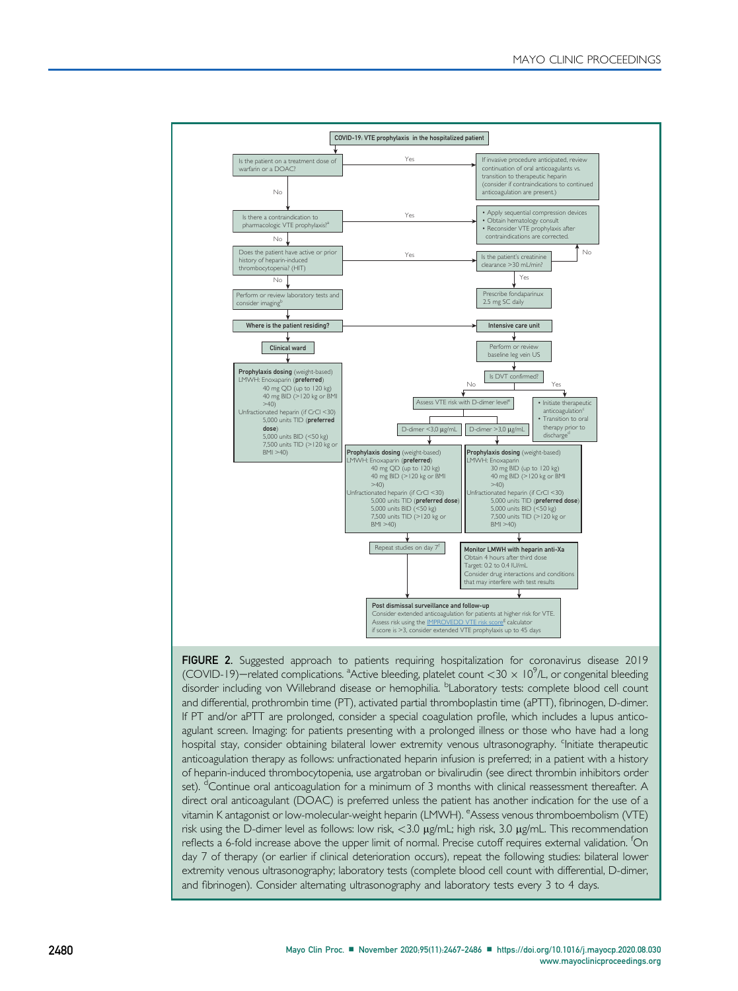<span id="page-13-0"></span>

FIGURE 2. Suggested approach to patients requiring hospitalization for coronavirus disease 2019 (COVID-19)—related complications. <sup>a</sup>Active bleeding, platelet count <30  $\times$  10<sup>9</sup>/L, or congenital bleeding disorder including von Willebrand disease or hemophilia. <sup>b</sup>Laboratory tests: complete blood cell count and differential, prothrombin time (PT), activated partial thromboplastin time (aPTT), fibrinogen, D-dimer. If PT and/or aPTT are prolonged, consider a special coagulation profile, which includes a lupus anticoagulant screen. Imaging: for patients presenting with a prolonged illness or those who have had a long hospital stay, consider obtaining bilateral lower extremity venous ultrasonography. <sup>c</sup>Initiate therapeutic anticoagulation therapy as follows: unfractionated heparin infusion is preferred; in a patient with a history of heparin-induced thrombocytopenia, use argatroban or bivalirudin (see direct thrombin inhibitors order set). <sup>d</sup>Continue oral anticoagulation for a minimum of 3 months with clinical reassessment thereafter. A direct oral anticoagulant (DOAC) is preferred unless the patient has another indication for the use of a vitamin K antagonist or low-molecular-weight heparin (LMWH). <sup>e</sup>Assess venous thromboembolism (VTE) risk using the D-dimer level as follows: low risk,  $<$ 3.0  $\mu$ g/mL; high risk, 3.0  $\mu$ g/mL. This recommendation reflects a 6-fold increase above the upper limit of normal. Precise cutoff requires external validation. <sup>f</sup> On day 7 of therapy (or earlier if clinical deterioration occurs), repeat the following studies: bilateral lower extremity venous ultrasonography; laboratory tests (complete blood cell count with differential, D-dimer, and fibrinogen). Consider alternating ultrasonography and laboratory tests every 3 to 4 days.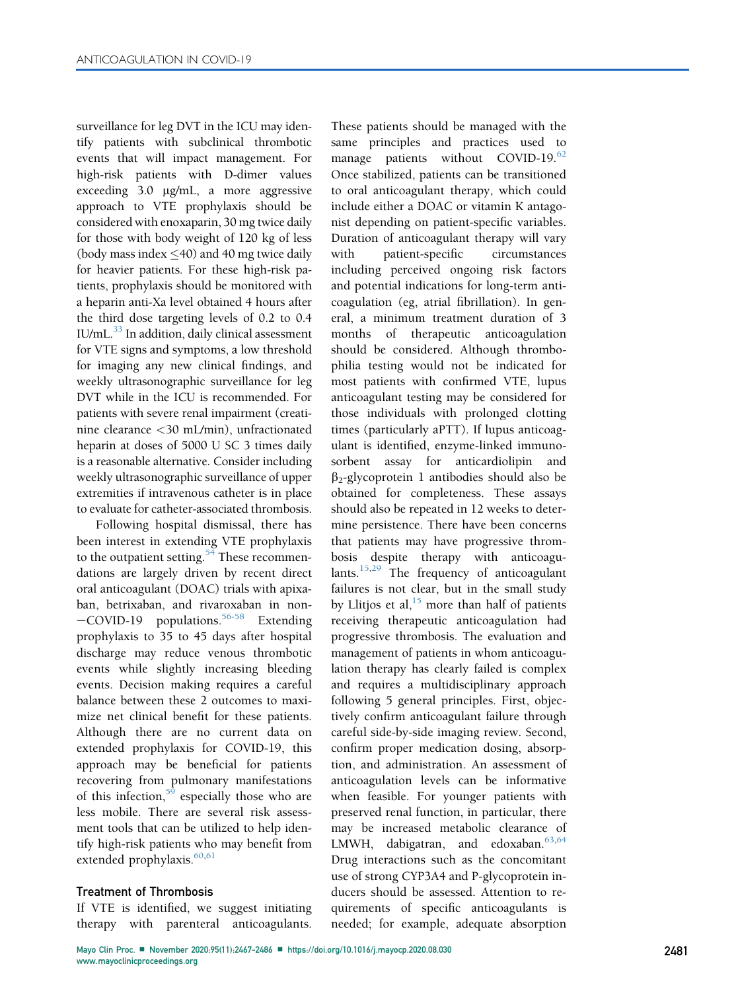surveillance for leg DVT in the ICU may identify patients with subclinical thrombotic events that will impact management. For high-risk patients with D-dimer values exceeding 3.0 mg/mL, a more aggressive approach to VTE prophylaxis should be considered with enoxaparin, 30 mg twice daily for those with body weight of 120 kg of less (body mass index  $\leq$  40) and 40 mg twice daily for heavier patients. For these high-risk patients, prophylaxis should be monitored with a heparin anti-Xa level obtained 4 hours after the third dose targeting levels of 0.2 to 0.4  $IU/mL$ .<sup>33</sup> In addition, daily clinical assessment for VTE signs and symptoms, a low threshold for imaging any new clinical findings, and weekly ultrasonographic surveillance for leg DVT while in the ICU is recommended. For patients with severe renal impairment (creatinine clearance <30 mL/min), unfractionated heparin at doses of 5000 U SC 3 times daily is a reasonable alternative. Consider including weekly ultrasonographic surveillance of upper extremities if intravenous catheter is in place to evaluate for catheter-associated thrombosis.

Following hospital dismissal, there has been interest in extending VTE prophylaxis to the outpatient setting. $54$  These recommendations are largely driven by recent direct oral anticoagulant (DOAC) trials with apixaban, betrixaban, and rivaroxaban in non- $-COVID-19$  populations.<sup>[56-58](#page-18-55)</sup> Extending prophylaxis to 35 to 45 days after hospital discharge may reduce venous thrombotic events while slightly increasing bleeding events. Decision making requires a careful balance between these 2 outcomes to maximize net clinical benefit for these patients. Although there are no current data on extended prophylaxis for COVID-19, this approach may be beneficial for patients recovering from pulmonary manifestations of this infection,  $59$  especially those who are less mobile. There are several risk assessment tools that can be utilized to help identify high-risk patients who may benefit from extended prophylaxis.<sup>[60](#page-18-57),[61](#page-18-58)</sup>

#### Treatment of Thrombosis

If VTE is identified, we suggest initiating therapy with parenteral anticoagulants.

These patients should be managed with the same principles and practices used to manage patients without COVID-19.<sup>[62](#page-18-59)</sup> Once stabilized, patients can be transitioned to oral anticoagulant therapy, which could include either a DOAC or vitamin K antagonist depending on patient-specific variables. Duration of anticoagulant therapy will vary with patient-specific circumstances including perceived ongoing risk factors and potential indications for long-term anticoagulation (eg, atrial fibrillation). In general, a minimum treatment duration of 3 months of therapeutic anticoagulation should be considered. Although thrombophilia testing would not be indicated for most patients with confirmed VTE, lupus anticoagulant testing may be considered for those individuals with prolonged clotting times (particularly aPTT). If lupus anticoagulant is identified, enzyme-linked immunosorbent assay for anticardiolipin and  $\beta_2$ -glycoprotein 1 antibodies should also be obtained for completeness. These assays should also be repeated in 12 weeks to determine persistence. There have been concerns that patients may have progressive thrombosis despite therapy with anticoagu-lants.<sup>[15](#page-17-20)[,29](#page-18-27)</sup> The frequency of anticoagulant failures is not clear, but in the small study by Llitjos et al,  $15$  more than half of patients receiving therapeutic anticoagulation had progressive thrombosis. The evaluation and management of patients in whom anticoagulation therapy has clearly failed is complex and requires a multidisciplinary approach following 5 general principles. First, objectively confirm anticoagulant failure through careful side-by-side imaging review. Second, confirm proper medication dosing, absorption, and administration. An assessment of anticoagulation levels can be informative when feasible. For younger patients with preserved renal function, in particular, there may be increased metabolic clearance of LMWH, dabigatran, and edoxaban.<sup>[63,](#page-19-0)[64](#page-19-1)</sup> Drug interactions such as the concomitant use of strong CYP3A4 and P-glycoprotein inducers should be assessed. Attention to requirements of specific anticoagulants is needed; for example, adequate absorption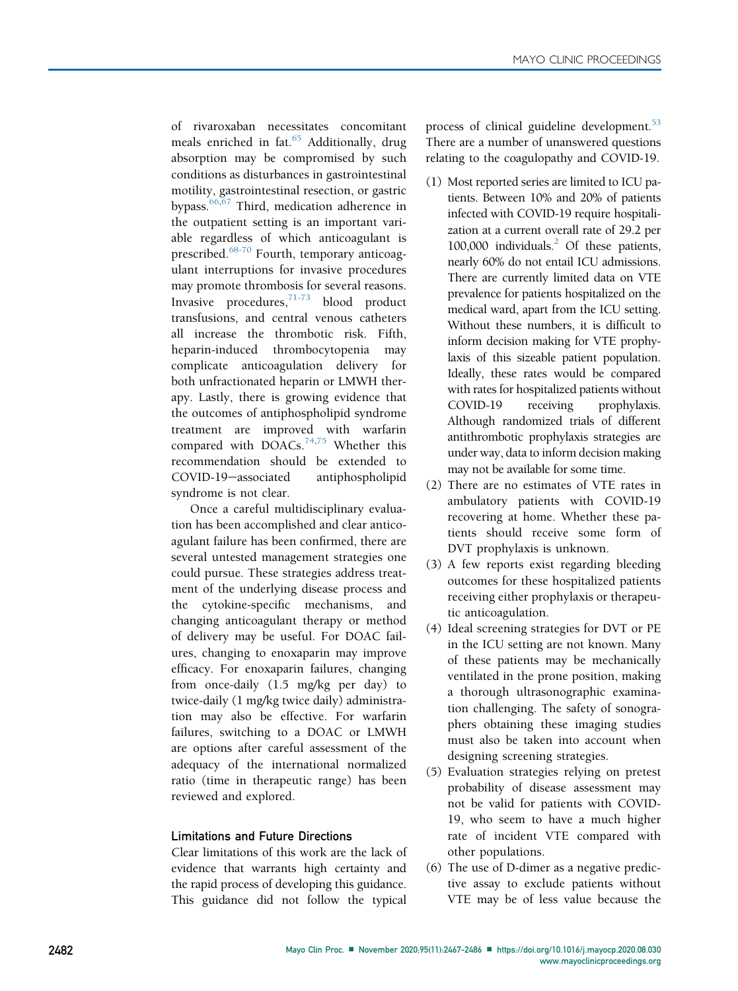of rivaroxaban necessitates concomitant meals enriched in fat. $65$  Additionally, drug absorption may be compromised by such conditions as disturbances in gastrointestinal motility, gastrointestinal resection, or gastric bypass. $66,67$  $66,67$  $66,67$  Third, medication adherence in the outpatient setting is an important variable regardless of which anticoagulant is prescribed.<sup>[68-70](#page-19-5)</sup> Fourth, temporary anticoagulant interruptions for invasive procedures may promote thrombosis for several reasons. Invasive procedures, $71-73$  blood product transfusions, and central venous catheters all increase the thrombotic risk. Fifth, heparin-induced thrombocytopenia may complicate anticoagulation delivery for both unfractionated heparin or LMWH therapy. Lastly, there is growing evidence that the outcomes of antiphospholipid syndrome treatment are improved with warfarin compared with  $DOACs$ .<sup>[74](#page-19-7)[,75](#page-19-8)</sup> Whether this recommendation should be extended to COVID-19-associated antiphospholipid syndrome is not clear.

Once a careful multidisciplinary evaluation has been accomplished and clear anticoagulant failure has been confirmed, there are several untested management strategies one could pursue. These strategies address treatment of the underlying disease process and the cytokine-specific mechanisms, and changing anticoagulant therapy or method of delivery may be useful. For DOAC failures, changing to enoxaparin may improve efficacy. For enoxaparin failures, changing from once-daily (1.5 mg/kg per day) to twice-daily (1 mg/kg twice daily) administration may also be effective. For warfarin failures, switching to a DOAC or LMWH are options after careful assessment of the adequacy of the international normalized ratio (time in therapeutic range) has been reviewed and explored.

#### Limitations and Future Directions

Clear limitations of this work are the lack of evidence that warrants high certainty and the rapid process of developing this guidance. This guidance did not follow the typical process of clinical guideline development.<sup>[53](#page-18-49)</sup> There are a number of unanswered questions relating to the coagulopathy and COVID-19.

- (1) Most reported series are limited to ICU patients. Between 10% and 20% of patients infected with COVID-19 require hospitalization at a current overall rate of 29.2 per 100,000 individuals.<sup>2</sup> Of these patients, nearly 60% do not entail ICU admissions. There are currently limited data on VTE prevalence for patients hospitalized on the medical ward, apart from the ICU setting. Without these numbers, it is difficult to inform decision making for VTE prophylaxis of this sizeable patient population. Ideally, these rates would be compared with rates for hospitalized patients without COVID-19 receiving prophylaxis. Although randomized trials of different antithrombotic prophylaxis strategies are under way, data to inform decision making may not be available for some time.
- (2) There are no estimates of VTE rates in ambulatory patients with COVID-19 recovering at home. Whether these patients should receive some form of DVT prophylaxis is unknown.
- (3) A few reports exist regarding bleeding outcomes for these hospitalized patients receiving either prophylaxis or therapeutic anticoagulation.
- (4) Ideal screening strategies for DVT or PE in the ICU setting are not known. Many of these patients may be mechanically ventilated in the prone position, making a thorough ultrasonographic examination challenging. The safety of sonographers obtaining these imaging studies must also be taken into account when designing screening strategies.
- (5) Evaluation strategies relying on pretest probability of disease assessment may not be valid for patients with COVID-19, who seem to have a much higher rate of incident VTE compared with other populations.
- (6) The use of D-dimer as a negative predictive assay to exclude patients without VTE may be of less value because the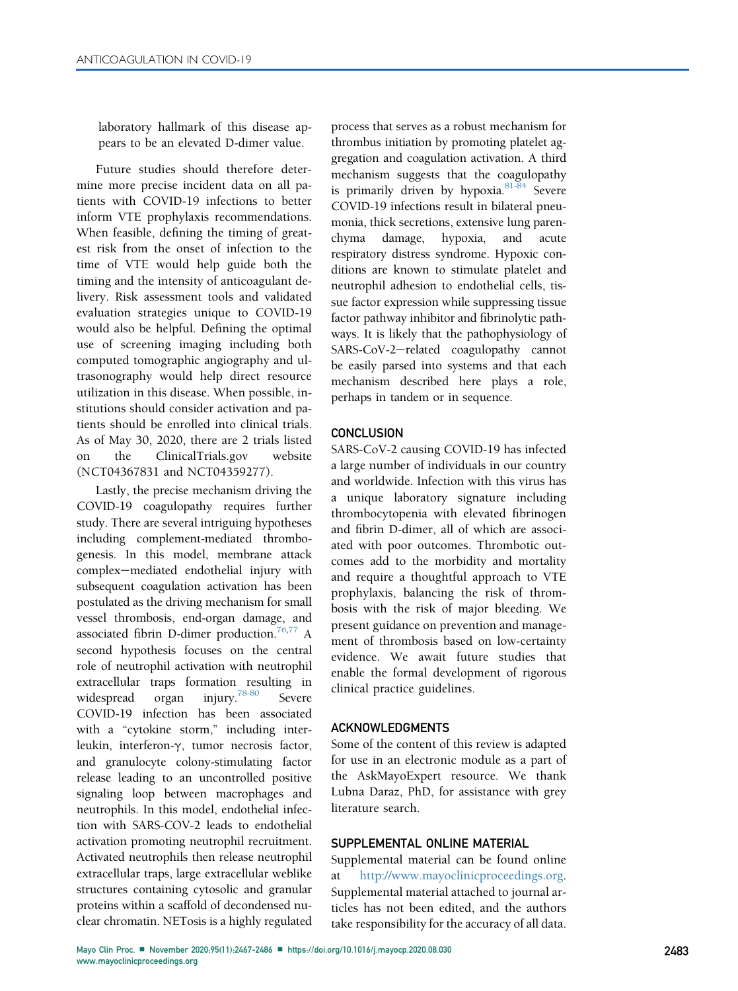laboratory hallmark of this disease appears to be an elevated D-dimer value.

Future studies should therefore determine more precise incident data on all patients with COVID-19 infections to better inform VTE prophylaxis recommendations. When feasible, defining the timing of greatest risk from the onset of infection to the time of VTE would help guide both the timing and the intensity of anticoagulant delivery. Risk assessment tools and validated evaluation strategies unique to COVID-19 would also be helpful. Defining the optimal use of screening imaging including both computed tomographic angiography and ultrasonography would help direct resource utilization in this disease. When possible, institutions should consider activation and patients should be enrolled into clinical trials. As of May 30, 2020, there are 2 trials listed on the ClinicalTrials.gov website (NCT04367831 and NCT04359277).

Lastly, the precise mechanism driving the COVID-19 coagulopathy requires further study. There are several intriguing hypotheses including complement-mediated thrombogenesis. In this model, membrane attack complex-mediated endothelial injury with subsequent coagulation activation has been postulated as the driving mechanism for small vessel thrombosis, end-organ damage, and associated fibrin D-dimer production.<sup>76[,77](#page-19-10)</sup> A second hypothesis focuses on the central role of neutrophil activation with neutrophil extracellular traps formation resulting in widespread organ injury.<sup>78-80</sup> Severe COVID-19 infection has been associated with a "cytokine storm," including interleukin, interferon-γ, tumor necrosis factor, and granulocyte colony-stimulating factor release leading to an uncontrolled positive signaling loop between macrophages and neutrophils. In this model, endothelial infection with SARS-COV-2 leads to endothelial activation promoting neutrophil recruitment. Activated neutrophils then release neutrophil extracellular traps, large extracellular weblike structures containing cytosolic and granular proteins within a scaffold of decondensed nuclear chromatin. NETosis is a highly regulated

process that serves as a robust mechanism for thrombus initiation by promoting platelet aggregation and coagulation activation. A third mechanism suggests that the coagulopathy is primarily driven by hypoxia.<sup>81-84</sup> Severe COVID-19 infections result in bilateral pneumonia, thick secretions, extensive lung parenchyma damage, hypoxia, and acute respiratory distress syndrome. Hypoxic conditions are known to stimulate platelet and neutrophil adhesion to endothelial cells, tissue factor expression while suppressing tissue factor pathway inhibitor and fibrinolytic pathways. It is likely that the pathophysiology of SARS-CoV-2-related coagulopathy cannot be easily parsed into systems and that each mechanism described here plays a role, perhaps in tandem or in sequence.

#### **CONCLUSION**

SARS-CoV-2 causing COVID-19 has infected a large number of individuals in our country and worldwide. Infection with this virus has a unique laboratory signature including thrombocytopenia with elevated fibrinogen and fibrin D-dimer, all of which are associated with poor outcomes. Thrombotic outcomes add to the morbidity and mortality and require a thoughtful approach to VTE prophylaxis, balancing the risk of thrombosis with the risk of major bleeding. We present guidance on prevention and management of thrombosis based on low-certainty evidence. We await future studies that enable the formal development of rigorous clinical practice guidelines.

#### ACKNOWLEDGMENTS

Some of the content of this review is adapted for use in an electronic module as a part of the AskMayoExpert resource. We thank Lubna Daraz, PhD, for assistance with grey literature search.

## SUPPLEMENTAL ONLINE MATERIAL

Supplemental material can be found online [http://www.mayoclinicproceedings.org.](http://www.mayoclinicproceedings.org) Supplemental material attached to journal articles has not been edited, and the authors take responsibility for the accuracy of all data.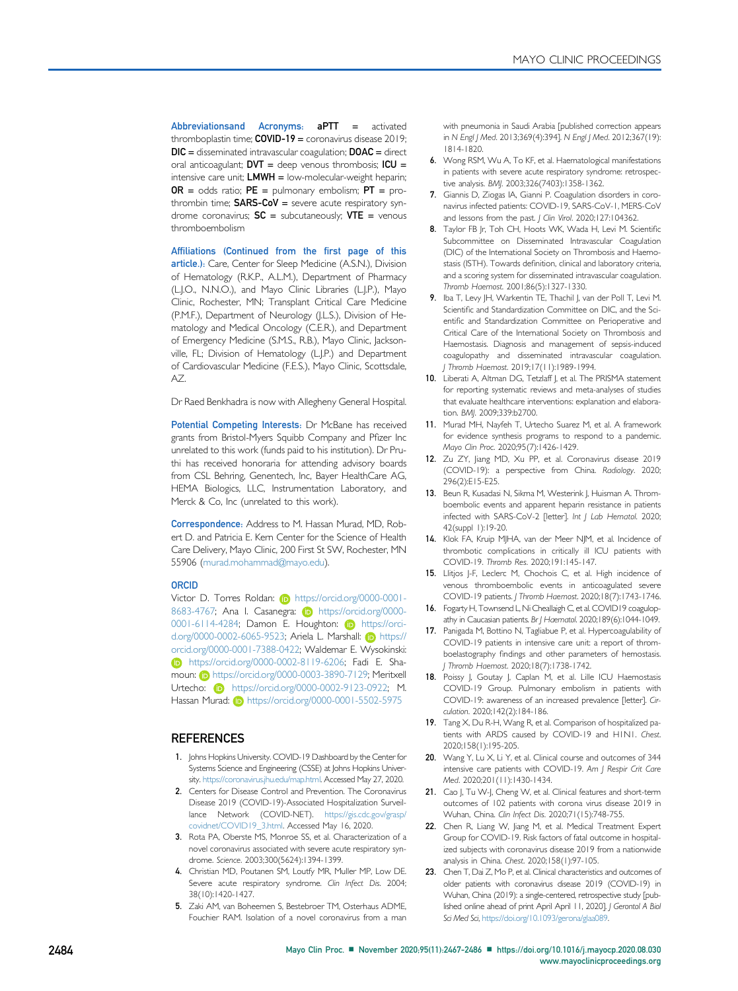<span id="page-17-28"></span>Abbreviationsand Acronyms: aPTT = activated thromboplastin time;  $COVID-19 =$  coronavirus disease 2019;  $DIC =$  disseminated intravascular coagulation;  $DOAC =$  direct oral anticoagulant;  $DVT =$  deep venous thrombosis;  $ICU =$ intensive care unit;  $LWWH =$  low-molecular-weight heparin;  $OR = odds ratio; PE = pulmonary embolism; PT = pro$ thrombin time;  $SARS-CoV =$  severe acute respiratory syndrome coronavirus;  $SC =$  subcutaneously;  $VTE =$  venous thromboembolism

Affiliations (Continued from the first page of this article.): Care, Center for Sleep Medicine (A.S.N.), Division of Hematology (R.K.P., A.L.M.), Department of Pharmacy (L.J.O., N.N.O.), and Mayo Clinic Libraries (L.J.P.), Mayo Clinic, Rochester, MN; Transplant Critical Care Medicine (P.M.F.), Department of Neurology (J.L.S.), Division of Hematology and Medical Oncology (C.E.R.), and Department of Emergency Medicine (S.M.S., R.B.), Mayo Clinic, Jacksonville, FL; Division of Hematology (L.J.P.) and Department of Cardiovascular Medicine (F.E.S.), Mayo Clinic, Scottsdale, AZ.

Dr Raed Benkhadra is now with Allegheny General Hospital.

<span id="page-17-15"></span><span id="page-17-14"></span><span id="page-17-9"></span><span id="page-17-8"></span><span id="page-17-7"></span>Potential Competing Interests: Dr McBane has received grants from Bristol-Myers Squibb Company and Pfizer Inc unrelated to this work (funds paid to his institution). Dr Pruthi has received honoraria for attending advisory boards from CSL Behring, Genentech, Inc, Bayer HealthCare AG, HEMA Biologics, LLC, Instrumentation Laboratory, and Merck & Co, Inc (unrelated to this work).

Correspondence: Address to M. Hassan Murad, MD, Robert D. and Patricia E. Kern Center for the Science of Health Care Delivery, Mayo Clinic, 200 First St SW, Rochester, MN 55906 ([murad.mohammad@mayo.edu](mailto:murad.mohammad@mayo.edu)).

#### ORCID

Victor D. Torres Roldan: **b** [https://orcid.org/0000-0001-](https://orcid.org/0000-0001-8683-4767) [8683-4767; Ana I. Casanegra:](https://orcid.org/0000-0001-8683-4767) **iD** [https://orcid.org/0000-](https://orcid.org/0000-0001-6114-4284) [0001-6114-4284; Damon E. Houghton:](https://orcid.org/0000-0001-6114-4284) D [https://orci](https://orcid.org/0000-0002-6065-9523)[d.org/0000-0002-6065-9523; Ariela L. Marshall:](https://orcid.org/0000-0002-6065-9523) (b) [https://](https://orcid.org/0000-0001-7388-0422) [orcid.org/0000-0001-7388-0422; Waldemar E. Wysokinski:](https://orcid.org/0000-0001-7388-0422) [https://orcid.org/0000-0002-8119-6206; Fadi E. Sha](https://orcid.org/0000-0002-8119-6206)[moun:](https://orcid.org/0000-0002-8119-6206) **b** [https://orcid.org/0000-0003-3890-7129; Meritxell](https://orcid.org/0000-0003-3890-7129) [Urtecho:](https://orcid.org/0000-0003-3890-7129) **b** [https://orcid.org/0000-0002-9123-0922; M.](https://orcid.org/0000-0002-9123-0922) [Hassan Murad:](https://orcid.org/0000-0002-9123-0922) **i** <https://orcid.org/0000-0001-5502-5975>

#### **REFERENCES**

- <span id="page-17-0"></span>1. Johns Hopkins University. COVID-19 Dashboard by the Center for Systems Science and Engineering (CSSE) at Johns Hopkins University. <https://coronavirus.jhu.edu/map.html>. Accessed May 27, 2020.
- <span id="page-17-1"></span>2. Centers for Disease Control and Prevention. The Coronavirus Disease 2019 (COVID-19)-Associated Hospitalization Surveillance Network (COVID-NET). [https://gis.cdc.gov/grasp/](https://gis.cdc.gov/grasp/covidnet/COVID19_3.html) [covidnet/COVID19\\_3.html.](https://gis.cdc.gov/grasp/covidnet/COVID19_3.html) Accessed May 16, 2020.
- <span id="page-17-2"></span>3. Rota PA, Oberste MS, Monroe SS, et al. Characterization of a novel coronavirus associated with severe acute respiratory syndrome. Science. 2003;300(5624):1394-1399.
- 4. Christian MD, Poutanen SM, Loutfy MR, Muller MP, Low DE. Severe acute respiratory syndrome. Clin Infect Dis. 2004; 38(10):1420-1427.
- 5. Zaki AM, van Boheemen S, Bestebroer TM, Osterhaus ADME, Fouchier RAM. Isolation of a novel coronavirus from a man

with pneumonia in Saudi Arabia [published correction appears in N Engl J Med. 2013;369(4):394]. N Engl J Med. 2012;367(19): 1814-1820.

- 6. Wong RSM, Wu A, To KF, et al. Haematological manifestations in patients with severe acute respiratory syndrome: retrospective analysis. BMJ. 2003;326(7403):1358-1362.
- 7. Giannis D, Ziogas IA, Gianni P. Coagulation disorders in coronavirus infected patients: COVID-19, SARS-CoV-1, MERS-CoV and lessons from the past. J Clin Virol. 2020;127:104362.
- <span id="page-17-3"></span>8. Taylor FB Jr, Toh CH, Hoots WK, Wada H, Levi M. Scientific Subcommittee on Disseminated Intravascular Coagulation (DIC) of the International Society on Thrombosis and Haemostasis (ISTH). Towards definition, clinical and laboratory criteria, and a scoring system for disseminated intravascular coagulation. Thromb Haemost. 2001;86(5):1327-1330.
- <span id="page-17-4"></span>9. Iba T, Levy JH, Warkentin TE, Thachil J, van der Poll T, Levi M. Scientific and Standardization Committee on DIC, and the Scientific and Standardization Committee on Perioperative and Critical Care of the International Society on Thrombosis and Haemostasis. Diagnosis and management of sepsis-induced coagulopathy and disseminated intravascular coagulation. J Thromb Haemost. 2019;17(11):1989-1994.
- <span id="page-17-5"></span>10. Liberati A, Altman DG, Tetzlaff J, et al. The PRISMA statement for reporting systematic reviews and meta-analyses of studies that evaluate healthcare interventions: explanation and elaboration. BMJ. 2009;339:b2700.
- <span id="page-17-27"></span><span id="page-17-16"></span><span id="page-17-13"></span><span id="page-17-12"></span><span id="page-17-11"></span><span id="page-17-10"></span><span id="page-17-6"></span>11. Murad MH, Nayfeh T, Urtecho Suarez M, et al. A framework for evidence synthesis programs to respond to a pandemic. Mayo Clin Proc. 2020;95(7):1426-1429.
- <span id="page-17-17"></span>12. Zu ZY, Jiang MD, Xu PP, et al. Coronavirus disease 2019 (COVID-19): a perspective from China. Radiology. 2020; 296(2):E15-E25.
- <span id="page-17-18"></span>13. Beun R, Kusadasi N, Sikma M, Westerink J, Huisman A. Thromboembolic events and apparent heparin resistance in patients infected with SARS-CoV-2 [letter]. Int J Lab Hematol. 2020; 42(suppl 1):19-20.
- <span id="page-17-19"></span>14. Klok FA, Kruip MJHA, van der Meer NJM, et al. Incidence of thrombotic complications in critically ill ICU patients with COVID-19. Thromb Res. 2020;191:145-147.
- <span id="page-17-20"></span>15. Llitjos J-F, Leclerc M, Chochois C, et al. High incidence of venous thromboembolic events in anticoagulated severe COVID-19 patients. J Thromb Haemost. 2020;18(7):1743-1746.
- <span id="page-17-21"></span>16. Fogarty H, Townsend L, Ni Cheallaigh C, et al. COVID19 coagulopathy in Caucasian patients. Br | Haematol. 2020;189(6):1044-1049.
- <span id="page-17-22"></span>17. Panigada M, Bottino N, Tagliabue P, et al. Hypercoagulability of COVID-19 patients in intensive care unit: a report of thromboelastography findings and other parameters of hemostasis. J Thromb Haemost. 2020;18(7):1738-1742.
- <span id="page-17-23"></span>18. Poissy J, Goutay J, Caplan M, et al. Lille ICU Haemostasis COVID-19 Group. Pulmonary embolism in patients with COVID-19: awareness of an increased prevalence [letter]. Circulation. 2020;142(2):184-186.
- <span id="page-17-24"></span>19. Tang X, Du R-H, Wang R, et al. Comparison of hospitalized patients with ARDS caused by COVID-19 and H1N1. Chest. 2020;158(1):195-205.
- <span id="page-17-25"></span>20. Wang Y, Lu X, Li Y, et al. Clinical course and outcomes of 344 intensive care patients with COVID-19. Am J Respir Crit Care Med. 2020;201(11):1430-1434.
- <span id="page-17-26"></span>21. Cao J, Tu W-J, Cheng W, et al. Clinical features and short-term outcomes of 102 patients with corona virus disease 2019 in Wuhan, China. Clin Infect Dis. 2020;71(15):748-755.
- <span id="page-17-30"></span>22. Chen R, Liang W, Jiang M, et al. Medical Treatment Expert Group for COVID-19. Risk factors of fatal outcome in hospitalized subjects with coronavirus disease 2019 from a nationwide analysis in China. Chest. 2020;158(1):97-105.
- <span id="page-17-29"></span>23. Chen T, Dai Z, Mo P, et al. Clinical characteristics and outcomes of older patients with coronavirus disease 2019 (COVID-19) in Wuhan, China (2019): a single-centered, retrospective study [published online ahead of print April April 11, 2020]. J Gerontol A Biol Sci Med Sci, [https://doi.org/10.1093/gerona/glaa089.](https://doi.org/10.1093/gerona/glaa089)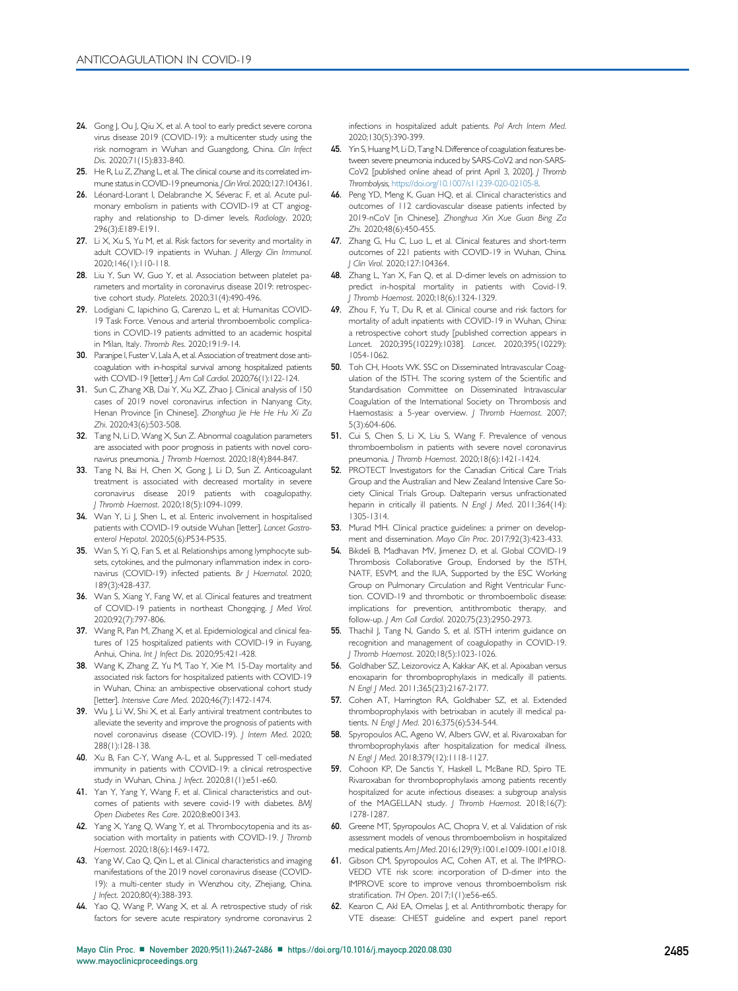- <span id="page-18-42"></span><span id="page-18-20"></span><span id="page-18-19"></span><span id="page-18-18"></span><span id="page-18-17"></span>24. Gong J, Ou J, Qiu X, et al. A tool to early predict severe corona virus disease 2019 (COVID-19): a multicenter study using the risk nomogram in Wuhan and Guangdong, China. Clin Infect Dis. 2020;71 (15):833-840.
- <span id="page-18-43"></span>25. He R, Lu Z, Zhang L, et al. The clinical course and its correlated immune status in COVID-19 pneumonia. J Clin Virol. 2020;127:104361.
- <span id="page-18-26"></span>26. Léonard-Lorant I, Delabranche X, Séverac F, et al. Acute pulmonary embolism in patients with COVID-19 at CT angiography and relationship to D-dimer levels. Radiology. 2020; 296(3):E189-E191.
- 27. Li  $X$ ,  $Xu$  S,  $Yu$  M, et al. Risk factors for severity and mortality in adult COVID-19 inpatients in Wuhan. J Allergy Clin Immunol. 2020;146(1):110-118.
- <span id="page-18-33"></span>28. Liu Y, Sun W, Guo Y, et al. Association between platelet parameters and mortality in coronavirus disease 2019: retrospective cohort study. Platelets. 2020;31(4):490-496.
- <span id="page-18-27"></span>29. Lodigiani C, Iapichino G, Carenzo L, et al; Humanitas COVID-19 Task Force. Venous and arterial thromboembolic complications in COVID-19 patients admitted to an academic hospital in Milan, Italy. Thromb Res. 2020;191:9-14.
- <span id="page-18-28"></span>30. Paranjpe I, Fuster V, Lala A, et al. Association of treatment dose anticoagulation with in-hospital survival among hospitalized patients with COVID-19 [letter]. J Am Coll Cardiol. 2020;76(1):122-124.
- <span id="page-18-34"></span>31. Sun C, Zhang XB, Dai Y, Xu XZ, Zhao J. Clinical analysis of 150 cases of 2019 novel coronavirus infection in Nanyang City, Henan Province [in Chinese]. Zhonghua Jie He He Hu Xi Za Zhi. 2020;43(6):503-508.
- <span id="page-18-29"></span>32. Tang N, Li D, Wang X, Sun Z. Abnormal coagulation parameters are associated with poor prognosis in patients with novel coronavirus pneumonia. J Thromb Haemost. 2020;18(4):844-847.
- <span id="page-18-30"></span>33. Tang N, Bai H, Chen X, Gong J, Li D, Sun Z. Anticoagulant treatment is associated with decreased mortality in severe coronavirus disease 2019 patients with coagulopathy. J Thromb Haemost. 2020;18(5):1094-1099.
- <span id="page-18-35"></span>34. Wan Y, Li J, Shen L, et al. Enteric involvement in hospitalised patients with COVID-19 outside Wuhan [letter]. Lancet Gastroenterol Hepatol. 2020;5(6):P534-P535.
- 35. Wan S, Yi Q, Fan S, et al. Relationships among lymphocyte subsets, cytokines, and the pulmonary inflammation index in coronavirus (COVID-19) infected patients. Br J Haematol. 2020; 189(3):428-437.
- <span id="page-18-36"></span>36. Wan S, Xiang Y, Fang W, et al. Clinical features and treatment of COVID-19 patients in northeast Chongqing. J Med Virol. 2020;92(7):797-806.
- <span id="page-18-37"></span>37. Wang R, Pan M, Zhang X, et al. Epidemiological and clinical features of 125 hospitalized patients with COVID-19 in Fuyang, Anhui, China. Int J Infect Dis. 2020;95:421-428.
- <span id="page-18-52"></span>38. Wang K, Zhang Z, Yu M, Tao Y, Xie M. 15-Day mortality and associated risk factors for hospitalized patients with COVID-19 in Wuhan, China: an ambispective observational cohort study [letter]. Intensive Care Med. 2020;46(7):1472-1474.
- <span id="page-18-31"></span>39. Wu J, Li W, Shi X, et al. Early antiviral treatment contributes to alleviate the severity and improve the prognosis of patients with novel coronavirus disease (COVID-19). J Intern Med. 2020; 288(1):128-138.
- <span id="page-18-45"></span>40. Xu B, Fan C-Y, Wang A-L, et al. Suppressed T cell-mediated immunity in patients with COVID-19: a clinical retrospective study in Wuhan, China. J Infect. 2020;81(1):e51-e60.
- <span id="page-18-44"></span>41. Yan Y, Yang Y, Wang F, et al. Clinical characteristics and outcomes of patients with severe covid-19 with diabetes. BMJ Open Diabetes Res Care. 2020;8:e001343.
- <span id="page-18-53"></span>42. Yang X, Yang Q, Wang Y, et al. Thrombocytopenia and its association with mortality in patients with COVID-19. J Thromb Haemost. 2020;18(6):1469-1472.
- <span id="page-18-38"></span>43. Yang W, Cao Q, Qin L, et al. Clinical characteristics and imaging manifestations of the 2019 novel coronavirus disease (COVID-19): a multi-center study in Wenzhou city, Zhejiang, China. J Infect. 2020;80(4):388-393.
- <span id="page-18-39"></span>44. Yao Q, Wang P, Wang X, et al. A retrospective study of risk factors for severe acute respiratory syndrome coronavirus 2

<span id="page-18-15"></span><span id="page-18-14"></span><span id="page-18-13"></span><span id="page-18-12"></span><span id="page-18-11"></span><span id="page-18-10"></span><span id="page-18-9"></span><span id="page-18-8"></span><span id="page-18-7"></span><span id="page-18-6"></span><span id="page-18-5"></span><span id="page-18-4"></span><span id="page-18-3"></span><span id="page-18-2"></span><span id="page-18-1"></span><span id="page-18-0"></span>infections in hospitalized adult patients. Pol Arch Intern Med. 2020;130(5):390-399.

- <span id="page-18-48"></span><span id="page-18-16"></span>45. Yin S, Huang M, Li D, Tang N. Difference of coagulation features between severe pneumonia induced by SARS-CoV2 and non-SARS-CoV2 [published online ahead of print April 3, 2020]. J Thromb Thrombolysis, <https://doi.org/10.1007/s11239-020-02105-8>.
- <span id="page-18-40"></span>46. Peng YD, Meng K, Guan HQ, et al. Clinical characteristics and outcomes of 112 cardiovascular disease patients infected by 2019-nCoV [in Chinese]. Zhonghua Xin Xue Guan Bing Za Zhi. 2020;48(6):450-455.
- <span id="page-18-41"></span>47. Zhang G, Hu C, Luo L, et al. Clinical features and short-term outcomes of 221 patients with COVID-19 in Wuhan, China. J Clin Virol. 2020;127:104364.
- 48. Zhang L, Yan X, Fan Q, et al. D-dimer levels on admission to predict in-hospital mortality in patients with Covid-19. .<br>J Thromb Haemost. 2020;18(6):1324-1329.
- <span id="page-18-54"></span><span id="page-18-25"></span><span id="page-18-24"></span><span id="page-18-23"></span><span id="page-18-22"></span><span id="page-18-21"></span>49. Zhou F, Yu T, Du R, et al. Clinical course and risk factors for mortality of adult inpatients with COVID-19 in Wuhan, China: a retrospective cohort study [published correction appears in Lancet. 2020;395(10229):1038]. Lancet. 2020;395(10229): 1054-1062.
- <span id="page-18-32"></span>50. Toh CH, Hoots WK. SSC on Disseminated Intravascular Coagulation of the ISTH. The scoring system of the Scientific and Standardisation Committee on Disseminated Intravascular Coagulation of the International Society on Thrombosis and Haemostasis: a 5-year overview. J Thromb Haemost. 2007; 5(3):604-606.
- <span id="page-18-46"></span>51. Cui S, Chen S, Li X, Liu S, Wang F. Prevalence of venous thromboembolism in patients with severe novel coronavirus pneumonia. J Thromb Haemost. 2020;18(6):1421-1424.
- <span id="page-18-47"></span>52. PROTECT Investigators for the Canadian Critical Care Trials Group and the Australian and New Zealand Intensive Care Society Clinical Trials Group. Dalteparin versus unfractionated heparin in critically ill patients. N Engl J Med. 2011;364(14): 1305-1314.
- <span id="page-18-49"></span>53. Murad MH. Clinical practice guidelines: a primer on development and dissemination. Mayo Clin Proc. 2017;92(3):423-433.
- <span id="page-18-50"></span>54. Bikdeli B, Madhavan MV, Jimenez D, et al. Global COVID-19 Thrombosis Collaborative Group, Endorsed by the ISTH, NATF, ESVM, and the IUA, Supported by the ESC Working Group on Pulmonary Circulation and Right Ventricular Function. COVID-19 and thrombotic or thromboembolic disease: implications for prevention, antithrombotic therapy, and follow-up. J Am Coll Cardiol. 2020;75(23):2950-2973.
- <span id="page-18-51"></span>55. Thachil J, Tang N, Gando S, et al. ISTH interim guidance on recognition and management of coagulopathy in COVID-19. J Thromb Haemost. 2020;18(5):1023-1026.
- <span id="page-18-55"></span>56. Goldhaber SZ, Leizorovicz A, Kakkar AK, et al. Apixaban versus enoxaparin for thromboprophylaxis in medically ill patients. N Engl J Med. 2011;365(23):2167-2177.
- 57. Cohen AT, Harrington RA, Goldhaber SZ, et al. Extended thromboprophylaxis with betrixaban in acutely ill medical patients. N Engl J Med. 2016;375(6):534-544.
- 58. Spyropoulos AC, Ageno W, Albers GW, et al. Rivaroxaban for thromboprophylaxis after hospitalization for medical illness. N Engl J Med. 2018;379(12):1118-1127.
- <span id="page-18-56"></span>59. Cohoon KP, De Sanctis Y, Haskell L, McBane RD, Spiro TE. Rivaroxaban for thromboprophylaxis among patients recently hospitalized for acute infectious diseases: a subgroup analysis of the MAGELLAN study. J Thromb Haemost. 2018;16(7): 1278-1287.
- <span id="page-18-57"></span>60. Greene MT, Spyropoulos AC, Chopra V, et al. Validation of risk assessment models of venous thromboembolism in hospitalized medical patients. Am J Med. 2016;129(9):1001.e1009-1001.e1018.
- <span id="page-18-58"></span>61. Gibson CM, Spyropoulos AC, Cohen AT, et al. The IMPRO-VEDD VTE risk score: incorporation of D-dimer into the IMPROVE score to improve venous thromboembolism risk stratification. TH Open. 2017;1(1):e56-e65.
- <span id="page-18-59"></span>62. Kearon C, Akl EA, Ornelas J, et al. Antithrombotic therapy for VTE disease: CHEST guideline and expert panel report